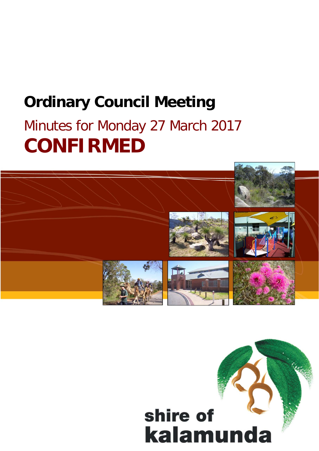# **Ordinary Council Meeting**

# Minutes for Monday 27 March 2017 **CONFIRMED**



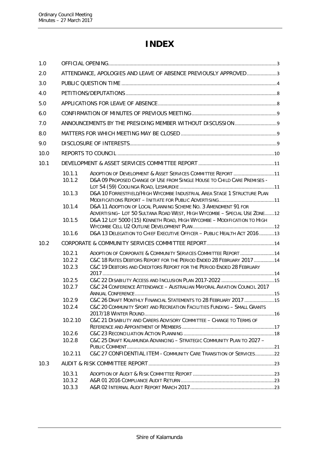# **INDEX**

| 1.0  |                  |                                                                                                                                            |  |
|------|------------------|--------------------------------------------------------------------------------------------------------------------------------------------|--|
| 2.0  |                  | ATTENDANCE, APOLOGIES AND LEAVE OF ABSENCE PREVIOUSLY APPROVED3                                                                            |  |
| 3.0  |                  |                                                                                                                                            |  |
| 4.0  |                  |                                                                                                                                            |  |
| 5.0  |                  |                                                                                                                                            |  |
| 6.0  |                  |                                                                                                                                            |  |
| 7.0  |                  |                                                                                                                                            |  |
| 8.0  |                  |                                                                                                                                            |  |
| 9.0  |                  |                                                                                                                                            |  |
| 10.0 |                  |                                                                                                                                            |  |
| 10.1 |                  |                                                                                                                                            |  |
|      |                  |                                                                                                                                            |  |
|      | 10.1.1<br>10.1.2 | ADOPTION OF DEVELOPMENT & ASSET SERVICES COMMITTEE REPORT 11<br>D&A 09 PROPOSED CHANGE OF USE FROM SINGLE HOUSE TO CHILD CARE PREMISES -   |  |
|      |                  |                                                                                                                                            |  |
|      | 10.1.3           | D&A 10 FORRESTFIELD/HIGH WYCOMBE INDUSTRIAL AREA STAGE 1 STRUCTURE PLAN                                                                    |  |
|      |                  |                                                                                                                                            |  |
|      | 10.1.4           | D&A 11 ADOPTION OF LOCAL PLANNING SCHEME NO. 3 AMENDMENT 91 FOR<br>ADVERTISING-LOT 50 SULTANA ROAD WEST, HIGH WYCOMBE - SPECIAL USE ZONE12 |  |
|      | 10.1.5           | D&A 12 LOT 5000 (15) KENNETH ROAD, HIGH WYCOMBE - MODIFICATION TO HIGH                                                                     |  |
|      |                  |                                                                                                                                            |  |
|      | 10.1.6           | D&A 13 DELEGATION TO CHIEF EXECUTIVE OFFICER - PUBLIC HEALTH ACT 2016 13                                                                   |  |
| 10.2 |                  |                                                                                                                                            |  |
|      | 10.2.1           | ADOPTION OF CORPORATE & COMMUNITY SERVICES COMMITTEE REPORT 14                                                                             |  |
|      | 10.2.2           | C&C 18 RATES DEBTORS REPORT FOR THE PERIOD ENDED 28 FEBRUARY 2017 14                                                                       |  |
|      | 10.2.3           | C&C 19 DEBTORS AND CREDITORS REPORT FOR THE PERIOD ENDED 28 FEBRUARY                                                                       |  |
|      | 10.2.5           |                                                                                                                                            |  |
|      | 10.2.7           | C&C 24 CONFERENCE ATTENDANCE - AUSTRALIAN MAYORAL AVIATION COUNCIL 2017                                                                    |  |
|      |                  |                                                                                                                                            |  |
|      | 10.2.9           | C&C 26 DRAFT MONTHLY FINANCIAL STATEMENTS TO 28 FEBRUARY 2017 15                                                                           |  |
|      | 10.2.4           | C&C 20 COMMUNITY SPORT AND RECREATION FACILITIES FUNDING - SMALL GRANTS                                                                    |  |
|      | 10.2.10          | C&C 21 DISABILITY AND CARERS ADVISORY COMMITTEE - CHANGE TO TERMS OF                                                                       |  |
|      |                  |                                                                                                                                            |  |
|      | 10.2.6           |                                                                                                                                            |  |
|      | 10.2.8           | C&C 25 DRAFT KALAMUNDA ADVANCING - STRATEGIC COMMUNITY PLAN TO 2027 -                                                                      |  |
|      | 10.2.11          | C&C 27 CONFIDENTIAL ITEM - COMMUNITY CARE TRANSITION OF SERVICES22                                                                         |  |
| 10.3 |                  |                                                                                                                                            |  |
|      |                  |                                                                                                                                            |  |
|      | 10.3.1<br>10.3.2 |                                                                                                                                            |  |
|      | 10.3.3           |                                                                                                                                            |  |
|      |                  |                                                                                                                                            |  |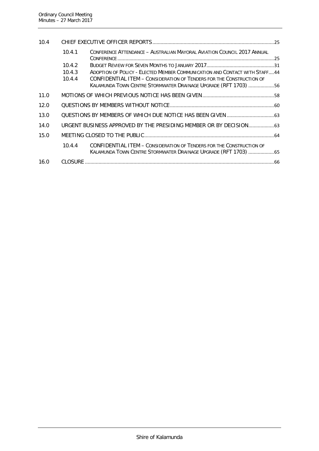| 10.4 |        |                                                                                                                                         |  |
|------|--------|-----------------------------------------------------------------------------------------------------------------------------------------|--|
|      | 10.4.1 | CONFERENCE ATTENDANCE - AUSTRALIAN MAYORAL AVIATION COUNCIL 2017 ANNUAL                                                                 |  |
|      | 10.4.2 |                                                                                                                                         |  |
|      | 10.4.3 | ADOPTION OF POLICY - ELECTED MEMBER COMMUNICATION AND CONTACT WITH STAFF44                                                              |  |
|      | 10.4.4 | CONFIDENTIAL ITEM - CONSIDERATION OF TENDERS FOR THE CONSTRUCTION OF<br>KALAMUNDA TOWN CENTRE STORMWATER DRAINAGE UPGRADE (RFT 1703) 56 |  |
| 11.0 |        |                                                                                                                                         |  |
| 12.0 |        |                                                                                                                                         |  |
| 13.0 |        |                                                                                                                                         |  |
| 14.0 |        | URGENT BUSINESS APPROVED BY THE PRESIDING MEMBER OR BY DECISION 63                                                                      |  |
| 15.0 |        |                                                                                                                                         |  |
|      | 10.4.4 | CONFIDENTIAL ITEM - CONSIDERATION OF TENDERS FOR THE CONSTRUCTION OF<br>KALAMUNDA TOWN CENTRE STORMWATER DRAINAGE UPGRADE (RFT 1703) 65 |  |
| 16.0 |        |                                                                                                                                         |  |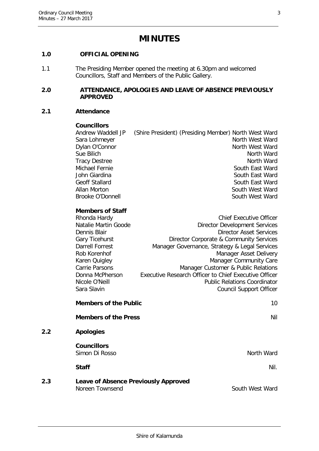# **MINUTES**

#### <span id="page-3-0"></span>**1.0 OFFICIAL OPENING**

1.1 The Presiding Member opened the meeting at 6.30pm and welcomed Councillors, Staff and Members of the Public Gallery.

#### <span id="page-3-1"></span>**2.0 ATTENDANCE, APOLOGIES AND LEAVE OF ABSENCE PREVIOUSLY APPROVED**

#### **2.1 Attendance**

#### **Councillors**

|  | North West Ward |                                                      |
|--|-----------------|------------------------------------------------------|
|  | North West Ward |                                                      |
|  | North Ward      |                                                      |
|  | North Ward      |                                                      |
|  | South East Ward |                                                      |
|  | South East Ward |                                                      |
|  | South East Ward |                                                      |
|  | South West Ward |                                                      |
|  | South West Ward |                                                      |
|  |                 | (Shire President) (Presiding Member) North West Ward |

#### **Members of Staff**

| Rhonda Hardy         | <b>Chief Executive Officer</b>                        |
|----------------------|-------------------------------------------------------|
| Natalie Martin Goode | <b>Director Development Services</b>                  |
| Dennis Blair         | <b>Director Asset Services</b>                        |
| Gary Ticehurst       | Director Corporate & Community Services               |
| Darrell Forrest      | Manager Governance, Strategy & Legal Services         |
| Rob Korenhof         | Manager Asset Delivery                                |
| Karen Quigley        | Manager Community Care                                |
| Carrie Parsons       | Manager Customer & Public Relations                   |
| Donna McPherson      | Executive Research Officer to Chief Executive Officer |
| Nicole O'Neill       | <b>Public Relations Coordinator</b>                   |
| Sara Slavin          | <b>Council Support Officer</b>                        |
|                      |                                                       |

**Members of the Public** 10 **Members of the Press** Nil **2.2 Apologies Councillors** Simon Di Rosso North Ward

**Staff** Nil. 2008 2012 2022 2023 2024 2022 2022 2023 2024 2022 2023 2024 2022 2023 2024 2022 2023 2024 2022 2023

**2.3 Leave of Absence Previously Approved** Noreen Townsend South West Ward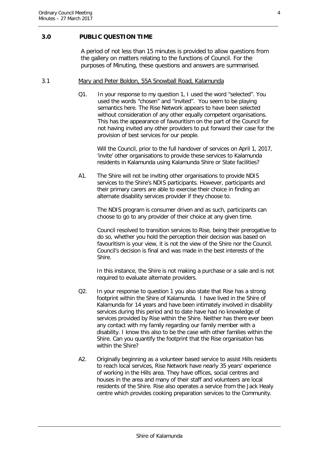#### <span id="page-4-0"></span>**3.0 PUBLIC QUESTION TIME**

A period of not less than 15 minutes is provided to allow questions from the gallery on matters relating to the functions of Council. For the purposes of Minuting, these questions and answers are summarised.

#### 3.1 Mary and Peter Boldon, 55A Snowball Road, Kalamunda

Q1. In your response to my question 1, I used the word "selected". You used the words "chosen" and "invited". You seem to be playing semantics here. The Rise Network appears to have been selected without consideration of any other equally competent organisations. This has the appearance of favouritism on the part of the Council for not having invited any other providers to put forward their case for the provision of best services for our people.

Will the Council, prior to the full handover of services on April 1, 2017, 'invite' other organisations to provide these services to Kalamunda residents in Kalamunda using Kalamunda Shire or State facilities?

A1. The Shire will not be inviting other organisations to provide NDIS services to the Shire's NDIS participants. However, participants and their primary carers are able to exercise their choice in finding an alternate disability services provider if they choose to.

The NDIS program is consumer driven and as such, participants can choose to go to any provider of their choice at any given time.

Council resolved to transition services to Rise, being their prerogative to do so, whether you hold the perception their decision was based on favouritism is your view, it is not the view of the Shire nor the Council. Council's decision is final and was made in the best interests of the Shire.

In this instance, the Shire is not making a purchase or a sale and is not required to evaluate alternate providers.

- Q2. In your response to question 1 you also state that Rise has a strong footprint within the Shire of Kalamunda. I have lived in the Shire of Kalamunda for 14 years and have been intimately involved in disability services during this period and to date have had no knowledge of services provided by Rise within the Shire. Neither has there ever been any contact with my family regarding our family member with a disability. I know this also to be the case with other families within the Shire. Can you quantify the footprint that the Rise organisation has within the Shire?
- A2. Originally beginning as a volunteer based service to assist Hills residents to reach local services, Rise Network have nearly 35 years' experience of working in the Hills area. They have offices, social centres and houses in the area and many of their staff and volunteers are local residents of the Shire. Rise also operates a service from the Jack Healy centre which provides cooking preparation services to the Community.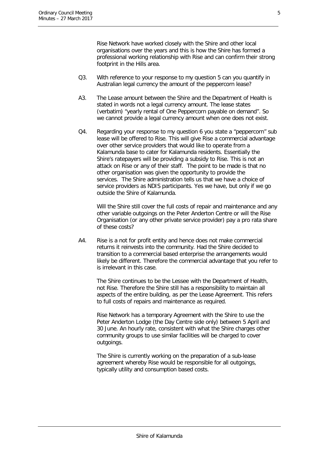Rise Network have worked closely with the Shire and other local organisations over the years and this is how the Shire has formed a professional working relationship with Rise and can confirm their strong footprint in the Hills area.

- Q3. With reference to your response to my question 5 can you quantify in Australian legal currency the amount of the peppercorn lease?
- A3. The Lease amount between the Shire and the Department of Health is stated in words not a legal currency amount. The lease states (verbatim) "yearly rental of One Peppercorn payable on demand". So we cannot provide a legal currency amount when one does not exist.
- Q4. Regarding your response to my question 6 you state a "peppercorn" sub lease will be offered to Rise. This will give Rise a commercial advantage over other service providers that would like to operate from a Kalamunda base to cater for Kalamunda residents. Essentially the Shire's ratepayers will be providing a subsidy to Rise. This is not an attack on Rise or any of their staff. The point to be made is that no other organisation was given the opportunity to provide the services. The Shire administration tells us that we have a choice of service providers as NDIS participants. Yes we have, but only if we go outside the Shire of Kalamunda.

Will the Shire still cover the full costs of repair and maintenance and any other variable outgoings on the Peter Anderton Centre or will the Rise Organisation (or any other private service provider) pay a pro rata share of these costs?

A4. Rise is a not for profit entity and hence does not make commercial returns it reinvests into the community. Had the Shire decided to transition to a commercial based enterprise the arrangements would likely be different. Therefore the commercial advantage that you refer to is irrelevant in this case.

The Shire continues to be the Lessee with the Department of Health, not Rise. Therefore the Shire still has a responsibility to maintain all aspects of the entire building, as per the Lease Agreement. This refers to full costs of repairs and maintenance as required.

Rise Network has a temporary Agreement with the Shire to use the Peter Anderton Lodge (the Day Centre side only) between 5 April and 30 June. An hourly rate, consistent with what the Shire charges other community groups to use similar facilities will be charged to cover outgoings.

The Shire is currently working on the preparation of a sub-lease agreement whereby Rise would be responsible for all outgoings, typically utility and consumption based costs.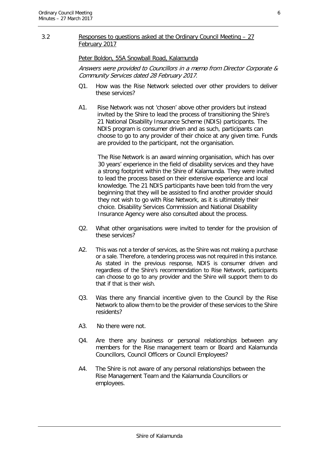#### 3.2 Responses to questions asked at the Ordinary Council Meeting – 27 February 2017

#### Peter Boldon, 55A Snowball Road, Kalamunda

Answers were provided to Councillors in a memo from Director Corporate & Community Services dated 28 February 2017.

- Q1. How was the Rise Network selected over other providers to deliver these services?
- A1. Rise Network was not 'chosen' above other providers but instead invited by the Shire to lead the process of transitioning the Shire's 21 National Disability Insurance Scheme (NDIS) participants. The NDIS program is consumer driven and as such, participants can choose to go to any provider of their choice at any given time. Funds are provided to the participant, not the organisation.

The Rise Network is an award winning organisation, which has over 30 years' experience in the field of disability services and they have a strong footprint within the Shire of Kalamunda. They were invited to lead the process based on their extensive experience and local knowledge. The 21 NDIS participants have been told from the very beginning that they will be assisted to find another provider should they not wish to go with Rise Network, as it is ultimately their choice. Disability Services Commission and National Disability Insurance Agency were also consulted about the process.

- Q2. What other organisations were invited to tender for the provision of these services?
- A2. This was not a tender of services, as the Shire was not making a purchase or a sale. Therefore, a tendering process was not required in this instance. As stated in the previous response, NDIS is consumer driven and regardless of the Shire's recommendation to Rise Network, participants can choose to go to any provider and the Shire will support them to do that if that is their wish.
- Q3. Was there any financial incentive given to the Council by the Rise Network to allow them to be the provider of these services to the Shire residents?
- A3. No there were not.
- Q4. Are there any business or personal relationships between any members for the Rise management team or Board and Kalamunda Councillors, Council Officers or Council Employees?
- A4. The Shire is not aware of any personal relationships between the Rise Management Team and the Kalamunda Councillors or employees.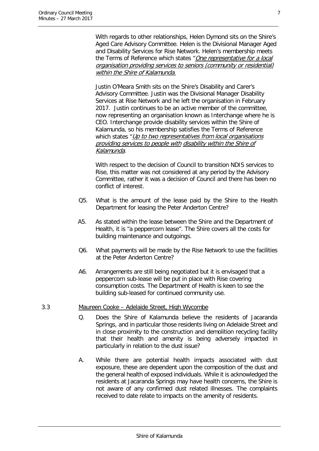With regards to other relationships, Helen Dymond sits on the Shire's Aged Care Advisory Committee. Helen is the Divisional Manager Aged and Disability Services for Rise Network. Helen's membership meets the Terms of Reference which states "One representative for a local organisation providing services to seniors (community or residential) within the Shire of Kalamunda.

Justin O'Meara Smith sits on the Shire's Disability and Carer's Advisory Committee. Justin was the Divisional Manager Disability Services at Rise Network and he left the organisation in February 2017. Justin continues to be an active member of the committee, now representing an organisation known as Interchange where he is CEO. Interchange provide disability services within the Shire of Kalamunda, so his membership satisfies the Terms of Reference which states "Up to two representatives from local organisations" providing services to people with disability within the Shire of Kalamunda.

With respect to the decision of Council to transition NDIS services to Rise, this matter was not considered at any period by the Advisory Committee, rather it was a decision of Council and there has been no conflict of interest.

- Q5. What is the amount of the lease paid by the Shire to the Health Department for leasing the Peter Anderton Centre?
- A5. As stated within the lease between the Shire and the Department of Health, it is "a peppercorn lease". The Shire covers all the costs for building maintenance and outgoings.
- Q6. What payments will be made by the Rise Network to use the facilities at the Peter Anderton Centre?
- A6. Arrangements are still being negotiated but it is envisaged that a peppercorn sub-lease will be put in place with Rise covering consumption costs. The Department of Health is keen to see the building sub-leased for continued community use.

#### 3.3 Maureen Cooke – Adelaide Street, High Wycombe

- Q. Does the Shire of Kalamunda believe the residents of Jacaranda Springs, and in particular those residents living on Adelaide Street and in close proximity to the construction and demolition recycling facility that their health and amenity is being adversely impacted in particularly in relation to the dust issue?
- A. While there are potential health impacts associated with dust exposure, these are dependent upon the composition of the dust and the general health of exposed individuals. While it is acknowledged the residents at Jacaranda Springs may have health concerns, the Shire is not aware of any confirmed dust related illnesses. The complaints received to date relate to impacts on the amenity of residents.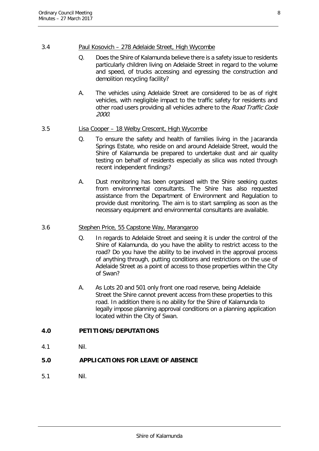#### 3.4 Paul Kosovich – 278 Adelaide Street, High Wycombe

- Q. Does the Shire of Kalamunda believe there is a safety issue to residents particularly children living on Adelaide Street in regard to the volume and speed, of trucks accessing and egressing the construction and demolition recycling facility?
- A. The vehicles using Adelaide Street are considered to be as of right vehicles, with negligible impact to the traffic safety for residents and other road users providing all vehicles adhere to the Road Traffic Code 2000.

#### 3.5 Lisa Cooper – 18 Welby Crescent, High Wycombe

- Q. To ensure the safety and health of families living in the Jacaranda Springs Estate, who reside on and around Adelaide Street, would the Shire of Kalamunda be prepared to undertake dust and air quality testing on behalf of residents especially as silica was noted through recent independent findings?
- A. Dust monitoring has been organised with the Shire seeking quotes from environmental consultants. The Shire has also requested assistance from the Department of Environment and Regulation to provide dust monitoring. The aim is to start sampling as soon as the necessary equipment and environmental consultants are available.

#### 3.6 Stephen Price, 55 Capstone Way, Marangaroo

- Q. In regards to Adelaide Street and seeing it is under the control of the Shire of Kalamunda, do you have the ability to restrict access to the road? Do you have the ability to be involved in the approval process of anything through, putting conditions and restrictions on the use of Adelaide Street as a point of access to those properties within the City of Swan?
- A. As Lots 20 and 501 only front one road reserve, being Adelaide Street the Shire cannot prevent access from these properties to this road. In addition there is no ability for the Shire of Kalamunda to legally impose planning approval conditions on a planning application located within the City of Swan.

# <span id="page-8-0"></span>**4.0 PETITIONS/DEPUTATIONS**

4.1 Nil.

# <span id="page-8-1"></span>**5.0 APPLICATIONS FOR LEAVE OF ABSENCE**

5.1 Nil.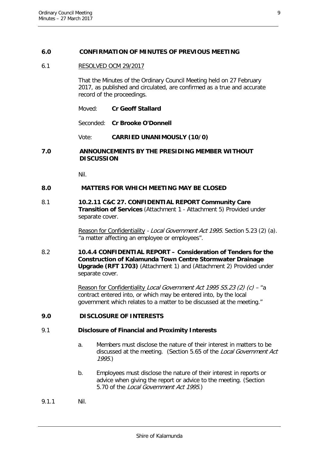#### <span id="page-9-0"></span>**6.0 CONFIRMATION OF MINUTES OF PREVIOUS MEETING**

#### 6.1 RESOLVED OCM 29/2017

That the Minutes of the Ordinary Council Meeting held on 27 February 2017, as published and circulated, are confirmed as a true and accurate record of the proceedings.

Seconded: **Cr Brooke O'Donnell**

Vote: **CARRIED UNANIMOUSLY (10/0)**

#### <span id="page-9-1"></span>**7.0 ANNOUNCEMENTS BY THE PRESIDING MEMBER WITHOUT DISCUSSION**

Nil.

#### <span id="page-9-2"></span>**8.0 MATTERS FOR WHICH MEETING MAY BE CLOSED**

8.1 **10.2.11 C&C 27. CONFIDENTIAL REPORT Community Care Transition of Services** (Attachment 1 - Attachment 5) Provided under separate cover.

> Reason for Confidentiality - Local Government Act 1995. Section 5.23 (2) (a). "a matter affecting an employee or employees".

8.2 **10.4.4 CONFIDENTIAL REPORT – Consideration of Tenders for the Construction of Kalamunda Town Centre Stormwater Drainage Upgrade (RFT 1703)** (Attachment 1) and (Attachment 2) Provided under separate cover.

> Reason for Confidentiality Local Government Act 1995 S5.23 (2) (c) – "a contract entered into, or which may be entered into, by the local government which relates to a matter to be discussed at the meeting."

#### <span id="page-9-3"></span>**9.0 DISCLOSURE OF INTERESTS**

#### 9.1 **Disclosure of Financial and Proximity Interests**

- a. Members must disclose the nature of their interest in matters to be discussed at the meeting. (Section 5.65 of the Local Government Act 1995.)
- b. Employees must disclose the nature of their interest in reports or advice when giving the report or advice to the meeting. (Section 5.70 of the Local Government Act 1995.)
- 9.1.1 Nil.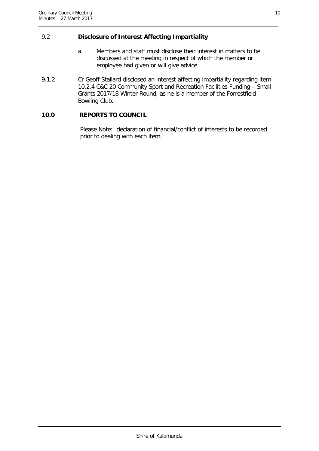#### 9.2 **Disclosure of Interest Affecting Impartiality**

- a. Members and staff must disclose their interest in matters to be discussed at the meeting in respect of which the member or employee had given or will give advice.
- 9.1.2 Cr Geoff Stallard disclosed an interest affecting impartiality regarding item 10.2.4 C&C 20 Community Sport and Recreation Facilities Funding – Small Grants 2017/18 Winter Round, as he is a member of the Forrestfield Bowling Club.

#### <span id="page-10-0"></span>**10.0 REPORTS TO COUNCIL**

Please Note: declaration of financial/conflict of interests to be recorded prior to dealing with each item.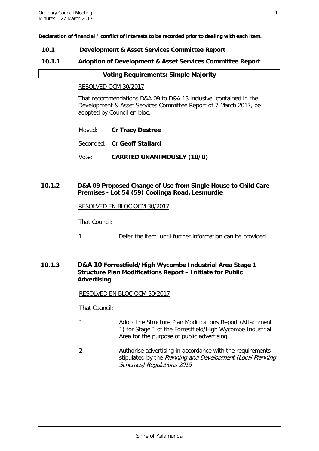**Declaration of financial / conflict of interests to be recorded prior to dealing with each item.**

#### <span id="page-11-0"></span>**10.1 Development & Asset Services Committee Report**

#### <span id="page-11-1"></span>**10.1.1 Adoption of Development & Asset Services Committee Report**

#### **Voting Requirements: Simple Majority**

#### RESOLVED OCM 30/2017

That recommendations D&A 09 to D&A 13 inclusive, contained in the Development & Asset Services Committee Report of 7 March 2017, be adopted by Council en bloc.

- Moved: **Cr Tracy Destree**
- Seconded: **Cr Geoff Stallard**
- Vote: **CARRIED UNANIMOUSLY (10/0)**

#### <span id="page-11-2"></span>**10.1.2 D&A 09 Proposed Change of Use from Single House to Child Care Premises - Lot 54 (59) Coolinga Road, Lesmurdie**

#### RESOLVED EN BLOC OCM 30/2017

That Council:

1. Defer the item, until further information can be provided.

#### <span id="page-11-3"></span>**10.1.3 D&A 10 Forrestfield/High Wycombe Industrial Area Stage 1 Structure Plan Modifications Report – Initiate for Public Advertising**

#### RESOLVED EN BLOC OCM 30/2017

That Council:

- 1. Adopt the Structure Plan Modifications Report (Attachment 1) for Stage 1 of the Forrestfield/High Wycombe Industrial Area for the purpose of public advertising.
- 2. Authorise advertising in accordance with the requirements stipulated by the Planning and Development (Local Planning Schemes) Regulations 2015.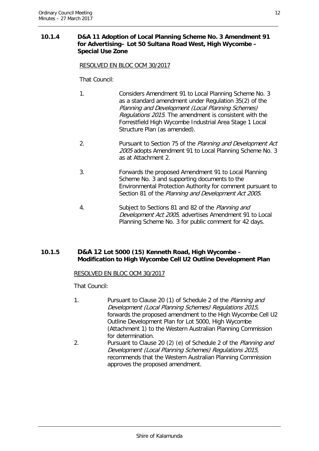#### <span id="page-12-0"></span>**10.1.4 D&A 11 Adoption of Local Planning Scheme No. 3 Amendment 91 for Advertising– Lot 50 Sultana Road West, High Wycombe – Special Use Zone**

RESOLVED EN BLOC OCM 30/2017

#### That Council:

- 1. Considers Amendment 91 to Local Planning Scheme No. 3 as a standard amendment under Regulation 35(2) of the Planning and Development (Local Planning Schemes) Regulations 2015. The amendment is consistent with the Forrestfield High Wycombe Industrial Area Stage 1 Local Structure Plan (as amended).
- 2. Pursuant to Section 75 of the Planning and Development Act 2005 adopts Amendment 91 to Local Planning Scheme No. 3 as at Attachment 2.
- 3. Forwards the proposed Amendment 91 to Local Planning Scheme No. 3 and supporting documents to the Environmental Protection Authority for comment pursuant to Section 81 of the Planning and Development Act 2005.
- 4. Subject to Sections 81 and 82 of the Planning and Development Act 2005, advertises Amendment 91 to Local Planning Scheme No. 3 for public comment for 42 days.

#### <span id="page-12-1"></span>**10.1.5 D&A 12 Lot 5000 (15) Kenneth Road, High Wycombe – Modification to High Wycombe Cell U2 Outline Development Plan**

#### RESOLVED EN BLOC OCM 30/2017

That Council:

- 1. Pursuant to Clause 20 (1) of Schedule 2 of the Planning and Development (Local Planning Schemes) Regulations 2015, forwards the proposed amendment to the High Wycombe Cell U2 Outline Development Plan for Lot 5000, High Wycombe (Attachment 1) to the Western Australian Planning Commission for determination.
- 2. Pursuant to Clause 20 (2) (e) of Schedule 2 of the Planning and Development (Local Planning Schemes) Regulations 2015, recommends that the Western Australian Planning Commission approves the proposed amendment.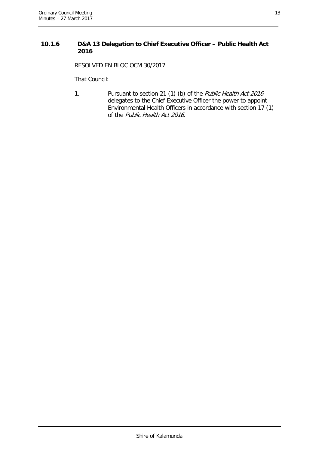#### <span id="page-13-0"></span>**10.1.6 D&A 13 Delegation to Chief Executive Officer – Public Health Act 2016**

RESOLVED EN BLOC OCM 30/2017

That Council:

1. Pursuant to section 21 (1) (b) of the *Public Health Act 2016* delegates to the Chief Executive Officer the power to appoint Environmental Health Officers in accordance with section 17 (1) of the Public Health Act 2016.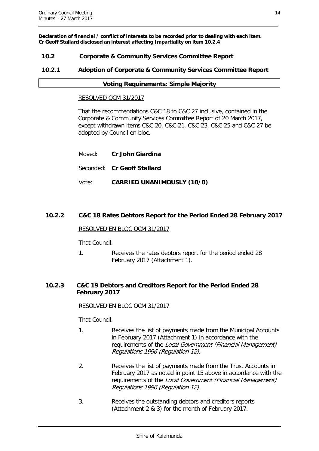**Declaration of financial / conflict of interests to be recorded prior to dealing with each item. Cr Geoff Stallard disclosed an interest affecting Impartiality on item 10.2.4**

#### <span id="page-14-0"></span>**10.2 Corporate & Community Services Committee Report**

#### <span id="page-14-1"></span>**10.2.1 Adoption of Corporate & Community Services Committee Report**

#### **Voting Requirements: Simple Majority**

#### RESOLVED OCM 31/2017

That the recommendations C&C 18 to C&C 27 inclusive, contained in the Corporate & Community Services Committee Report of 20 March 2017, except withdrawn items C&C 20, C&C 21, C&C 23, C&C 25 and C&C 27 be adopted by Council en bloc.

| Moved: |  | Cr John Giardina |
|--------|--|------------------|
|--------|--|------------------|

Seconded: **Cr Geoff Stallard**

Vote: **CARRIED UNANIMOUSLY (10/0)**

#### <span id="page-14-2"></span>**10.2.2 C&C 18 Rates Debtors Report for the Period Ended 28 February 2017**

#### RESOLVED EN BLOC OCM 31/2017

That Council:

1. Receives the rates debtors report for the period ended 28 February 2017 (Attachment 1).

#### <span id="page-14-3"></span>**10.2.3 C&C 19 Debtors and Creditors Report for the Period Ended 28 February 2017**

#### RESOLVED EN BLOC OCM 31/2017

That Council:

- 1. Receives the list of payments made from the Municipal Accounts in February 2017 (Attachment 1) in accordance with the requirements of the Local Government (Financial Management) Regulations 1996 (Regulation 12).
- 2. Receives the list of payments made from the Trust Accounts in February 2017 as noted in point 15 above in accordance with the requirements of the Local Government (Financial Management) Regulations 1996 (Regulation 12).
- 3. Receives the outstanding debtors and creditors reports (Attachment 2 & 3) for the month of February 2017.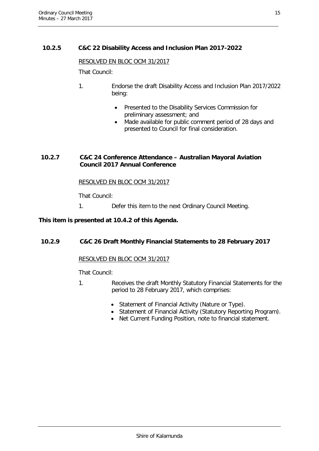#### <span id="page-15-0"></span>**10.2.5 C&C 22 Disability Access and Inclusion Plan 2017-2022**

#### RESOLVED EN BLOC OCM 31/2017

That Council:

- 1. Endorse the draft Disability Access and Inclusion Plan 2017/2022 being:
	- Presented to the Disability Services Commission for preliminary assessment; and
	- Made available for public comment period of 28 days and presented to Council for final consideration.

#### <span id="page-15-1"></span>**10.2.7 C&C 24 Conference Attendance – Australian Mayoral Aviation Council 2017 Annual Conference**

#### RESOLVED EN BLOC OCM 31/2017

That Council:

1. Defer this item to the next Ordinary Council Meeting.

#### **This item is presented at 10.4.2 of this Agenda.**

#### <span id="page-15-2"></span>**10.2.9 C&C 26 Draft Monthly Financial Statements to 28 February 2017**

#### RESOLVED EN BLOC OCM 31/2017

That Council:

- 1. Receives the draft Monthly Statutory Financial Statements for the period to 28 February 2017, which comprises:
	- Statement of Financial Activity (Nature or Type).
	- Statement of Financial Activity (Statutory Reporting Program).
	- Net Current Funding Position, note to financial statement.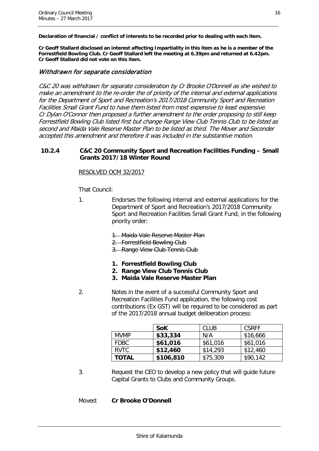**Declaration of financial / conflict of interests to be recorded prior to dealing with each item.**

**Cr Geoff Stallard disclosed an interest affecting Impartiality in this item as he is a member of the Forrestfield Bowling Club. Cr Geoff Stallard left the meeting at 6.39pm and returned at 6.42pm. Cr Geoff Stallard did not vote on this item.**

#### Withdrawn for separate consideration

C&C 20 was withdrawn for separate consideration by Cr Brooke O'Donnell as she wished to make an amendment to the re-order the of priority of the internal and external applications for the Department of Sport and Recreation's 2017/2018 Community Sport and Recreation Facilities Small Grant Fund to have them listed from most expensive to least expensive. Cr Dylan O'Connor then proposed a further amendment to the order proposing to still keep Forrestfield Bowling Club listed first but change Range View Club Tennis Club to be listed as second and Maida Vale Reserve Master Plan to be listed as third. The Mover and Seconder accepted this amendment and therefore it was included in the substantive motion.

#### <span id="page-16-0"></span>**10.2.4 C&C 20 Community Sport and Recreation Facilities Funding – Small Grants 2017/18 Winter Round**

#### RESOLVED OCM 32/2017

That Council:

- 1. Endorses the following internal and external applications for the Department of Sport and Recreation's 2017/2018 Community Sport and Recreation Facilities Small Grant Fund, in the following priority order:
	- 1. Maida Vale Reserve Master Plan
	- 2. Forrestfield Bowling Club
	- 3. Range View Club Tennis Club
	- **1. Forrestfield Bowling Club**
	- **2. Range View Club Tennis Club**
	- **3. Maida Vale Reserve Master Plan**
- 2. Notes in the event of a successful Community Sport and Recreation Facilities Fund application, the following cost contributions (Ex GST) will be required to be considered as part of the 2017/2018 annual budget deliberation process:

|              | <b>SoK</b> | <b>CLUB</b> | <b>CSRFF</b> |
|--------------|------------|-------------|--------------|
| <b>MVMP</b>  | \$33,334   | N/A         | \$16,666     |
| <b>FDBC</b>  | \$61,016   | \$61,016    | \$61,016     |
| RVTC         | \$12,460   | \$14,293    | \$12,460     |
| <b>TOTAL</b> | \$106,810  | \$75,309    | \$90,142     |

3. Request the CEO to develop a new policy that will guide future Capital Grants to Clubs and Community Groups.

#### Moved: **Cr Brooke O'Donnell**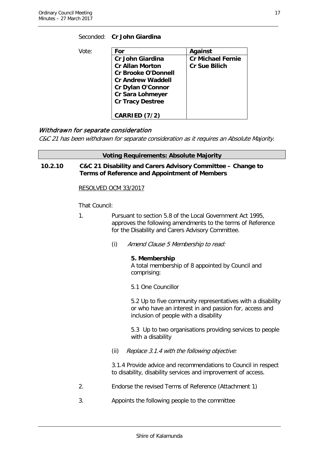| Vote: | For                        | Against                  |
|-------|----------------------------|--------------------------|
|       | <b>Cr John Giardina</b>    | <b>Cr Michael Fernie</b> |
|       | <b>Cr Allan Morton</b>     | <b>Cr Sue Bilich</b>     |
|       | <b>Cr Brooke O'Donnell</b> |                          |
|       | <b>Cr Andrew Waddell</b>   |                          |
|       | Cr Dylan O'Connor          |                          |
|       | Cr Sara Lohmeyer           |                          |
|       | <b>Cr Tracy Destree</b>    |                          |
|       |                            |                          |
|       | CARRIED (7/2)              |                          |

Seconded: **Cr John Giardina**

#### Withdrawn for separate consideration

C&C 21 has been withdrawn for separate consideration as it requires an Absolute Majority.

#### **Voting Requirements: Absolute Majority**

<span id="page-17-0"></span>**10.2.10 C&C 21 Disability and Carers Advisory Committee – Change to Terms of Reference and Appointment of Members**

#### RESOLVED OCM 33/2017

That Council:

- 1. Pursuant to section 5.8 of the Local Government Act 1995, approves the following amendments to the terms of Reference for the Disability and Carers Advisory Committee.
	- (i) Amend Clause 5 Membership to read:

#### **5. Membership**

A total membership of 8 appointed by Council and comprising:

5.1 One Councillor

5.2 Up to five community representatives with a disability or who have an interest in and passion for, access and inclusion of people with a disability

5.3 Up to two organisations providing services to people with a disability

(ii) Replace 3.1.4 with the following objective:

3.1.4 Provide advice and recommendations to Council in respect to disability, disability services and improvement of access.

- 2. Endorse the revised Terms of Reference (Attachment 1)
- 3. Appoints the following people to the committee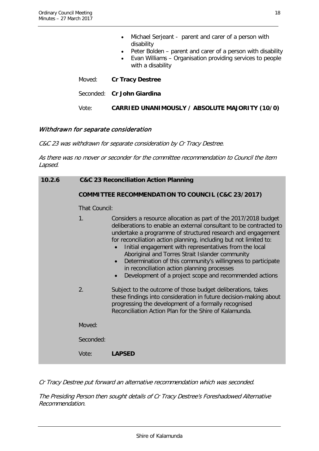|            | Michael Serjeant - parent and carer of a person with |
|------------|------------------------------------------------------|
| disability |                                                      |

- Peter Bolden parent and carer of a person with disability
- Evan Williams Organisation providing services to people with a disability
- Moved: **Cr Tracy Destree**
- Seconded: **Cr John Giardina**

Vote: **CARRIED UNANIMOUSLY / ABSOLUTE MAJORITY (10/0)**

#### Withdrawn for separate consideration

C&C 23 was withdrawn for separate consideration by Cr Tracy Destree.

As there was no mover or seconder for the committee recommendation to Council the item Lapsed.

<span id="page-18-0"></span>

| 10.2.6 | <b>C&amp;C 23 Reconciliation Action Planning</b>             |                                                                                                                                                                                                                                                                                                                                                                                                                                                                                                                                                                              |  |  |
|--------|--------------------------------------------------------------|------------------------------------------------------------------------------------------------------------------------------------------------------------------------------------------------------------------------------------------------------------------------------------------------------------------------------------------------------------------------------------------------------------------------------------------------------------------------------------------------------------------------------------------------------------------------------|--|--|
|        | <b>COMMITTEE RECOMMENDATION TO COUNCIL (C&amp;C 23/2017)</b> |                                                                                                                                                                                                                                                                                                                                                                                                                                                                                                                                                                              |  |  |
|        | That Council:                                                |                                                                                                                                                                                                                                                                                                                                                                                                                                                                                                                                                                              |  |  |
|        | 1.                                                           | Considers a resource allocation as part of the 2017/2018 budget<br>deliberations to enable an external consultant to be contracted to<br>undertake a programme of structured research and engagement<br>for reconciliation action planning, including but not limited to:<br>Initial engagement with representatives from the local<br>Aboriginal and Torres Strait Islander community<br>Determination of this community's willingness to participate<br>in reconciliation action planning processes<br>Development of a project scope and recommended actions<br>$\bullet$ |  |  |
|        | 2.                                                           | Subject to the outcome of those budget deliberations, takes<br>these findings into consideration in future decision-making about<br>progressing the development of a formally recognised<br>Reconciliation Action Plan for the Shire of Kalamunda.                                                                                                                                                                                                                                                                                                                           |  |  |
|        | Moved:                                                       |                                                                                                                                                                                                                                                                                                                                                                                                                                                                                                                                                                              |  |  |
|        | Seconded:                                                    |                                                                                                                                                                                                                                                                                                                                                                                                                                                                                                                                                                              |  |  |
|        | Vote:                                                        | <b>LAPSED</b>                                                                                                                                                                                                                                                                                                                                                                                                                                                                                                                                                                |  |  |

Cr Tracy Destree put forward an alternative recommendation which was seconded.

The Presiding Person then sought details of Cr Tracy Destree's Foreshadowed Alternative Recommendation.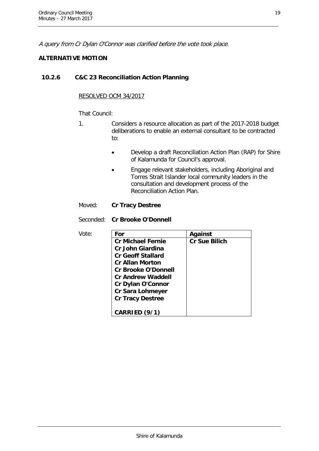A query from Cr Dylan O'Connor was clarified before the vote took place.

#### **ALTERNATIVE MOTION**

#### **10.2.6 C&C 23 Reconciliation Action Planning**

#### RESOLVED OCM 34/2017

#### That Council:

- 1. Considers a resource allocation as part of the 2017-2018 budget deliberations to enable an external consultant to be contracted to:
	- Develop a draft Reconciliation Action Plan (RAP) for Shire of Kalamunda for Council's approval.
	- Engage relevant stakeholders, including Aboriginal and Torres Strait Islander local community leaders in the consultation and development process of the Reconciliation Action Plan.

#### Moved: **Cr Tracy Destree**

#### Seconded: **Cr Brooke O'Donnell**

| Vote: | For                        | Against              |
|-------|----------------------------|----------------------|
|       | <b>Cr Michael Fernie</b>   | <b>Cr Sue Bilich</b> |
|       | <b>Cr John Giardina</b>    |                      |
|       | <b>Cr Geoff Stallard</b>   |                      |
|       | <b>Cr Allan Morton</b>     |                      |
|       | <b>Cr Brooke O'Donnell</b> |                      |
|       | <b>Cr Andrew Waddell</b>   |                      |
|       | <b>Cr Dylan O'Connor</b>   |                      |
|       | <b>Cr Sara Lohmeyer</b>    |                      |
|       | <b>Cr Tracy Destree</b>    |                      |
|       |                            |                      |
|       | CARRIED (9/1)              |                      |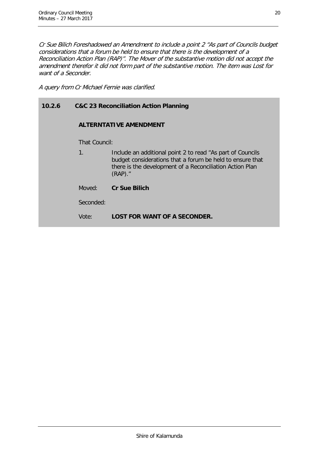Cr Sue Bilich Foreshadowed an Amendment to include a point 2 "As part of Councils budget considerations that a forum be held to ensure that there is the development of a Reconciliation Action Plan (RAP)". The Mover of the substantive motion did not accept the amendment therefor it did not form part of the substantive motion. The item was Lost for want of a Seconder.

A query from Cr Michael Fernie was clarified.

### **10.2.6 C&C 23 Reconciliation Action Planning**

#### **ALTERNTATIVE AMENDMENT**

That Council:

1. Include an additional point 2 to read "As part of Councils budget considerations that a forum be held to ensure that there is the development of a Reconciliation Action Plan (RAP)."

Moved: **Cr Sue Bilich**

Seconded:

Vote: **LOST FOR WANT OF A SECONDER.**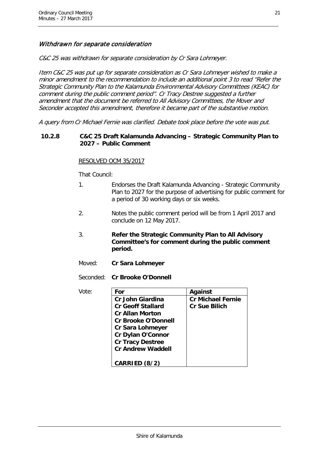#### Withdrawn for separate consideration

C&C 25 was withdrawn for separate consideration by Cr Sara Lohmeyer.

Item C&C 25 was put up for separate consideration as Cr Sara Lohmeyer wished to make a minor amendment to the recommendation to include an additional point 3 to read "Refer the Strategic Community Plan to the Kalamunda Environmental Advisory Committees (KEAC) for comment during the public comment period". Cr Tracy Destree suggested a further amendment that the document be referred to All Advisory Committees, the Mover and Seconder accepted this amendment, therefore it became part of the substantive motion.

A query from Cr Michael Fernie was clarified. Debate took place before the vote was put.

#### <span id="page-21-0"></span>**10.2.8 C&C 25 Draft Kalamunda Advancing – Strategic Community Plan to 2027 – Public Comment**

#### RESOLVED OCM 35/2017

That Council:

- 1. Endorses the Draft Kalamunda Advancing Strategic Community Plan to 2027 for the purpose of advertising for public comment for a period of 30 working days or six weeks.
- 2. Notes the public comment period will be from 1 April 2017 and conclude on 12 May 2017.
- 3. **Refer the Strategic Community Plan to All Advisory Committee's for comment during the public comment period.**
- Moved: **Cr Sara Lohmeyer**

Seconded: **Cr Brooke O'Donnell**

| Vote: | For                        | Against                  |
|-------|----------------------------|--------------------------|
|       | Cr John Giardina           | <b>Cr Michael Fernie</b> |
|       | <b>Cr Geoff Stallard</b>   | <b>Cr Sue Bilich</b>     |
|       | <b>Cr Allan Morton</b>     |                          |
|       | <b>Cr Brooke O'Donnell</b> |                          |
|       | <b>Cr Sara Lohmeyer</b>    |                          |
|       | <b>Cr Dylan O'Connor</b>   |                          |
|       | <b>Cr Tracy Destree</b>    |                          |
|       | <b>Cr Andrew Waddell</b>   |                          |
|       |                            |                          |
|       | CARRIED (8/2)              |                          |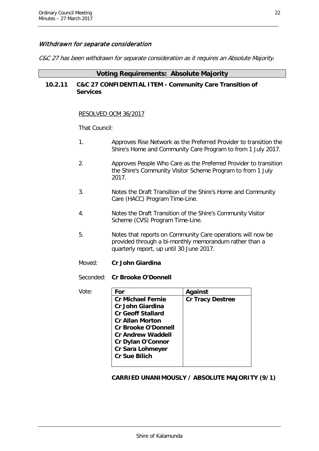#### Withdrawn for separate consideration

C&C 27 has been withdrawn for separate consideration as it requires an Absolute Majority.

#### **Voting Requirements: Absolute Majority**

#### <span id="page-22-0"></span>**10.2.11 C&C 27 CONFIDENTIAL ITEM - Community Care Transition of Services**

#### RESOLVED OCM 36/2017

That Council:

- 1. Approves Rise Network as the Preferred Provider to transition the Shire's Home and Community Care Program to from 1 July 2017.
- 2. Approves People Who Care as the Preferred Provider to transition the Shire's Community Visitor Scheme Program to from 1 July 2017.
- 3. Notes the Draft Transition of the Shire's Home and Community Care (HACC) Program Time-Line.
- 4. Notes the Draft Transition of the Shire's Community Visitor Scheme (CVS) Program Time-Line.
- 5. Notes that reports on Community Care operations will now be provided through a bi-monthly memorandum rather than a quarterly report, up until 30 June 2017.
- Moved: **Cr John Giardina**

#### Seconded: **Cr Brooke O'Donnell**

| Vote: | For                        | Against                 |
|-------|----------------------------|-------------------------|
|       | <b>Cr Michael Fernie</b>   | <b>Cr Tracy Destree</b> |
|       | <b>Cr John Giardina</b>    |                         |
|       | <b>Cr Geoff Stallard</b>   |                         |
|       | <b>Cr Allan Morton</b>     |                         |
|       | <b>Cr Brooke O'Donnell</b> |                         |
|       | <b>Cr Andrew Waddell</b>   |                         |
|       | Cr Dylan O'Connor          |                         |
|       | Cr Sara Lohmeyer           |                         |
|       | <b>Cr Sue Bilich</b>       |                         |
|       |                            |                         |
|       |                            |                         |

#### **CARRIED UNANIMOUSLY / ABSOLUTE MAJORITY (9/1)**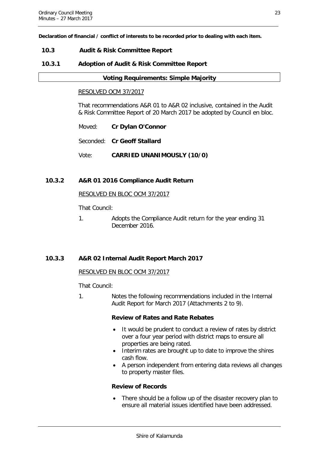**Declaration of financial / conflict of interests to be recorded prior to dealing with each item.**

#### <span id="page-23-0"></span>**10.3 Audit & Risk Committee Report**

#### <span id="page-23-1"></span>**10.3.1 Adoption of Audit & Risk Committee Report**

#### **Voting Requirements: Simple Majority**

#### RESOLVED OCM 37/2017

That recommendations A&R 01 to A&R 02 inclusive, contained in the Audit & Risk Committee Report of 20 March 2017 be adopted by Council en bloc.

- Moved: **Cr Dylan O'Connor**
- Seconded: **Cr Geoff Stallard**
- Vote: **CARRIED UNANIMOUSLY (10/0)**

#### <span id="page-23-2"></span>**10.3.2 A&R 01 2016 Compliance Audit Return**

RESOLVED EN BLOC OCM 37/2017

That Council:

1. Adopts the Compliance Audit return for the year ending 31 December 2016.

#### <span id="page-23-3"></span>**10.3.3 A&R 02 Internal Audit Report March 2017**

#### RESOLVED EN BLOC OCM 37/2017

That Council:

1. Notes the following recommendations included in the Internal Audit Report for March 2017 (Attachments 2 to 9).

#### **Review of Rates and Rate Rebates**

- It would be prudent to conduct a review of rates by district over a four year period with district maps to ensure all properties are being rated.
- Interim rates are brought up to date to improve the shires cash flow.
- A person independent from entering data reviews all changes to property master files.

#### **Review of Records**

There should be a follow up of the disaster recovery plan to ensure all material issues identified have been addressed.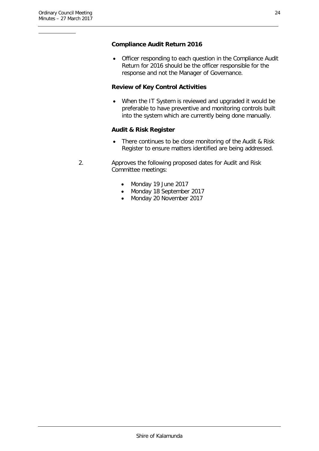#### **Compliance Audit Return 2016**

• Officer responding to each question in the Compliance Audit Return for 2016 should be the officer responsible for the response and not the Manager of Governance.

#### **Review of Key Control Activities**

When the IT System is reviewed and upgraded it would be preferable to have preventive and monitoring controls built into the system which are currently being done manually.

#### **Audit & Risk Register**

- There continues to be close monitoring of the Audit & Risk Register to ensure matters identified are being addressed.
- 2. Approves the following proposed dates for Audit and Risk Committee meetings:
	- Monday 19 June 2017
	- Monday 18 September 2017
	- Monday 20 November 2017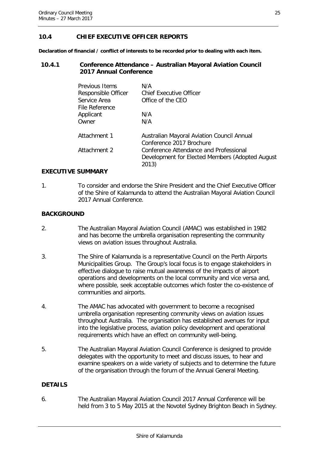### <span id="page-25-0"></span>**10.4 CHIEF EXECUTIVE OFFICER REPORTS**

**Declaration of financial / conflict of interests to be recorded prior to dealing with each item.**

#### <span id="page-25-1"></span>**10.4.1 Conference Attendance – Australian Mayoral Aviation Council 2017 Annual Conference**

| Previous Items      | N/A                                                                                                 |
|---------------------|-----------------------------------------------------------------------------------------------------|
| Responsible Officer | <b>Chief Executive Officer</b>                                                                      |
| Service Area        | Office of the CEO                                                                                   |
| File Reference      |                                                                                                     |
| Applicant           | N/A                                                                                                 |
| Owner               | N/A                                                                                                 |
| Attachment 1        | Australian Mayoral Aviation Council Annual<br>Conference 2017 Brochure                              |
| Attachment 2        | Conference Attendance and Professional<br>Development for Elected Members (Adopted August)<br>2013) |

#### **EXECUTIVE SUMMARY**

1. To consider and endorse the Shire President and the Chief Executive Officer of the Shire of Kalamunda to attend the Australian Mayoral Aviation Council 2017 Annual Conference.

#### **BACKGROUND**

- 2. The Australian Mayoral Aviation Council (AMAC) was established in 1982 and has become the umbrella organisation representing the community views on aviation issues throughout Australia.
- 3. The Shire of Kalamunda is a representative Council on the Perth Airports Municipalities Group. The Group's local focus is to engage stakeholders in effective dialogue to raise mutual awareness of the impacts of airport operations and developments on the local community and vice versa and, where possible, seek acceptable outcomes which foster the co-existence of communities and airports.
- 4. The AMAC has advocated with government to become a recognised umbrella organisation representing community views on aviation issues throughout Australia. The organisation has established avenues for input into the legislative process, aviation policy development and operational requirements which have an effect on community well-being.
- 5. The Australian Mayoral Aviation Council Conference is designed to provide delegates with the opportunity to meet and discuss issues, to hear and examine speakers on a wide variety of subjects and to determine the future of the organisation through the forum of the Annual General Meeting.

#### **DETAILS**

6. The Australian Mayoral Aviation Council 2017 Annual Conference will be held from 3 to 5 May 2015 at the Novotel Sydney Brighton Beach in Sydney.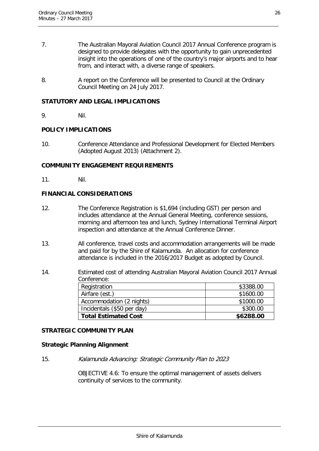- 7. The Australian Mayoral Aviation Council 2017 Annual Conference program is designed to provide delegates with the opportunity to gain unprecedented insight into the operations of one of the country's major airports and to hear from, and interact with, a diverse range of speakers.
- 8. A report on the Conference will be presented to Council at the Ordinary Council Meeting on 24 July 2017.

#### **STATUTORY AND LEGAL IMPLICATIONS**

9. Nil.

#### **POLICY IMPLICATIONS**

10. Conference Attendance and Professional Development for Elected Members (Adopted August 2013) (Attachment 2).

#### **COMMUNITY ENGAGEMENT REQUIREMENTS**

11. Nil.

#### **FINANCIAL CONSIDERATIONS**

- 12. The Conference Registration is \$1,694 (including GST) per person and includes attendance at the Annual General Meeting, conference sessions, morning and afternoon tea and lunch, Sydney International Terminal Airport inspection and attendance at the Annual Conference Dinner.
- 13. All conference, travel costs and accommodation arrangements will be made and paid for by the Shire of Kalamunda. An allocation for conference attendance is included in the 2016/2017 Budget as adopted by Council.
- 14. Estimated cost of attending Australian Mayoral Aviation Council 2017 Annual Conference: Registration  $\sim$  \$3388.00 Airfare (est.) \$1600.00 Accommodation (2 nights)  $\vert$  \$1000.00  $Incidents ( $50 per day)$   $$300.00$

#### **STRATEGIC COMMUNITY PLAN**

#### **Strategic Planning Alignment**

15. Kalamunda Advancing: Strategic Community Plan to 2023

OBJECTIVE 4.6: To ensure the optimal management of assets delivers continuity of services to the community.

Total Estimated Cost **\$6288.00**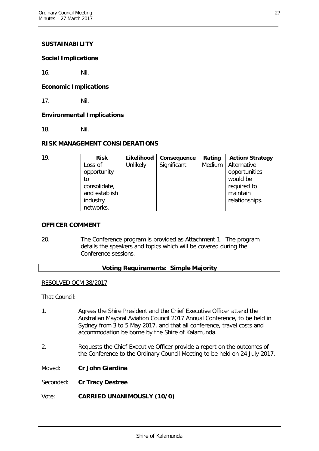#### **SUSTAINABILITY**

#### **Social Implications**

16. Nil.

#### **Economic Implications**

17. Nil.

#### **Environmental Implications**

18. Nil.

#### **RISK MANAGEMENT CONSIDERATIONS**

| 19. | <b>Risk</b>   | Likelihood | <b>Consequence</b> | Rating | <b>Action/Strategy</b> |
|-----|---------------|------------|--------------------|--------|------------------------|
|     | Loss of       | Unlikely   | Significant        | Medium | Alternative            |
|     | opportunity   |            |                    |        | opportunities          |
|     | to            |            |                    |        | would be               |
|     | consolidate,  |            |                    |        | required to            |
|     | and establish |            |                    |        | maintain               |
|     | industry      |            |                    |        | relationships.         |
|     | networks.     |            |                    |        |                        |

#### **OFFICER COMMENT**

20. The Conference program is provided as Attachment 1. The program details the speakers and topics which will be covered during the Conference sessions.

#### **Voting Requirements: Simple Majority**

#### RESOLVED OCM 38/2017

That Council:

- 1. Agrees the Shire President and the Chief Executive Officer attend the Australian Mayoral Aviation Council 2017 Annual Conference, to be held in Sydney from 3 to 5 May 2017, and that all conference, travel costs and accommodation be borne by the Shire of Kalamunda.
- 2. Requests the Chief Executive Officer provide a report on the outcomes of the Conference to the Ordinary Council Meeting to be held on 24 July 2017.
- Moved: **Cr John Giardina**

Seconded: **Cr Tracy Destree**

Vote: **CARRIED UNANIMOUSLY (10/0)**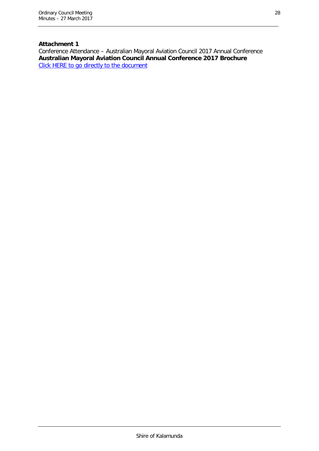# **Attachment 1**

Conference Attendance – Australian Mayoral Aviation Council 2017 Annual Conference **Australian Mayoral Aviation Council Annual Conference 2017 Brochure**  [Click HERE to go directly to the document](http://www.kalamunda.wa.gov.au/files/0bf807b5-9870-41e2-b0eb-a73f00e86d85/Item-1042-Att-1-OCM-27-March-2017.pdf)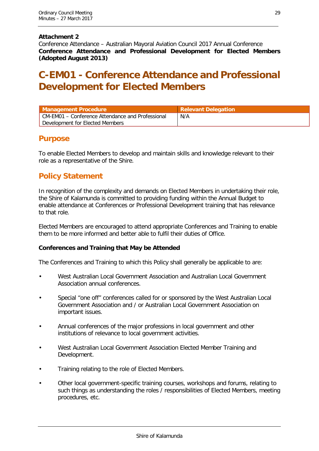#### **Attachment 2**

Conference Attendance – Australian Mayoral Aviation Council 2017 Annual Conference **Conference Attendance and Professional Development for Elected Members (Adopted August 2013)**

# **C-EM01 - Conference Attendance and Professional Development for Elected Members**

| Management Procedure                             | <b>Relevant Delegation</b> |
|--------------------------------------------------|----------------------------|
| CM-EM01 – Conference Attendance and Professional | N/A                        |
| Development for Elected Members                  |                            |

# **Purpose**

To enable Elected Members to develop and maintain skills and knowledge relevant to their role as a representative of the Shire.

# **Policy Statement**

In recognition of the complexity and demands on Elected Members in undertaking their role, the Shire of Kalamunda is committed to providing funding within the Annual Budget to enable attendance at Conferences or Professional Development training that has relevance to that role.

Elected Members are encouraged to attend appropriate Conferences and Training to enable them to be more informed and better able to fulfil their duties of Office.

#### **Conferences and Training that May be Attended**

The Conferences and Training to which this Policy shall generally be applicable to are:

- West Australian Local Government Association and Australian Local Government Association annual conferences.
- Special "one off" conferences called for or sponsored by the West Australian Local Government Association and / or Australian Local Government Association on important issues.
- Annual conferences of the major professions in local government and other institutions of relevance to local government activities.
- West Australian Local Government Association Elected Member Training and Development.
- Training relating to the role of Elected Members.
- Other local government-specific training courses, workshops and forums, relating to such things as understanding the roles / responsibilities of Elected Members, meeting procedures, etc.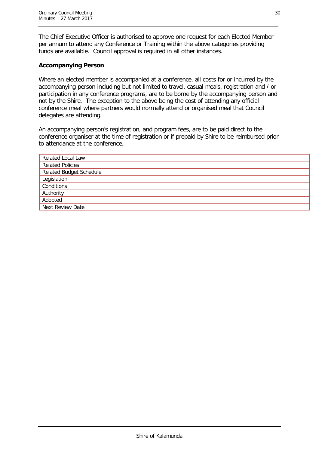The Chief Executive Officer is authorised to approve one request for each Elected Member per annum to attend any Conference or Training within the above categories providing funds are available. Council approval is required in all other instances.

#### **Accompanying Person**

Where an elected member is accompanied at a conference, all costs for or incurred by the accompanying person including but not limited to travel, casual meals, registration and / or participation in any conference programs, are to be borne by the accompanying person and not by the Shire. The exception to the above being the cost of attending any official conference meal where partners would normally attend or organised meal that Council delegates are attending.

An accompanying person's registration, and program fees, are to be paid direct to the conference organiser at the time of registration or if prepaid by Shire to be reimbursed prior to attendance at the conference.

| <b>Related Local Law</b>       |
|--------------------------------|
| <b>Related Policies</b>        |
| <b>Related Budget Schedule</b> |
| Legislation                    |
| Conditions                     |
| Authority                      |
| Adopted                        |
| Next Review Date               |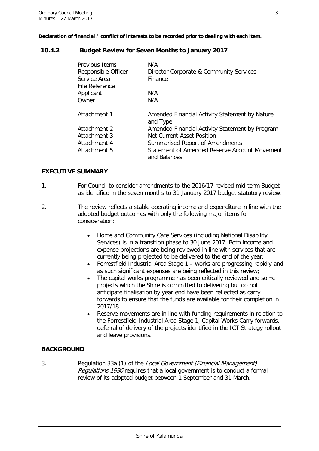**Declaration of financial / conflict of interests to be recorded prior to dealing with each item.**

#### <span id="page-31-0"></span>**10.4.2 Budget Review for Seven Months to January 2017**

| Previous Items<br>Responsible Officer | N/A<br>Director Corporate & Community Services                |
|---------------------------------------|---------------------------------------------------------------|
| Service Area<br>File Reference        | Finance                                                       |
| Applicant                             | N/A                                                           |
| Owner                                 | N/A                                                           |
| Attachment 1                          | Amended Financial Activity Statement by Nature<br>and Type    |
| Attachment 2                          | Amended Financial Activity Statement by Program               |
| Attachment 3                          | Net Current Asset Position                                    |
| Attachment 4                          | Summarised Report of Amendments                               |
| Attachment 5                          | Statement of Amended Reserve Account Movement<br>and Balances |

#### **EXECUTIVE SUMMARY**

- 1. For Council to consider amendments to the 2016/17 revised mid-term Budget as identified in the seven months to 31 January 2017 budget statutory review.
- 2. The review reflects a stable operating income and expenditure in line with the adopted budget outcomes with only the following major items for consideration:
	- Home and Community Care Services (including National Disability Services) is in a transition phase to 30 June 2017. Both income and expense projections are being reviewed in line with services that are currently being projected to be delivered to the end of the year;
	- Forrestfield Industrial Area Stage 1 works are progressing rapidly and as such significant expenses are being reflected in this review;
	- The capital works programme has been critically reviewed and some projects which the Shire is committed to delivering but do not anticipate finalisation by year end have been reflected as carry forwards to ensure that the funds are available for their completion in 2017/18.
	- Reserve movements are in line with funding requirements in relation to the Forrestfield Industrial Area Stage 1, Capital Works Carry forwards, deferral of delivery of the projects identified in the ICT Strategy rollout and leave provisions.

#### **BACKGROUND**

3. Regulation 33a (1) of the Local Government (Financial Management) Regulations 1996 requires that a local government is to conduct a formal review of its adopted budget between 1 September and 31 March.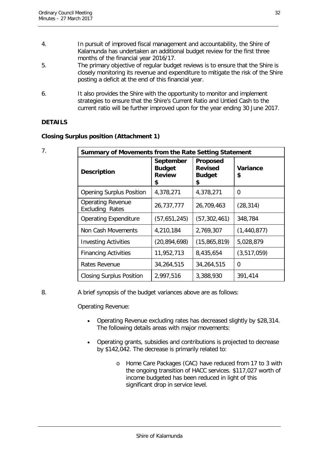- 4. In pursuit of improved fiscal management and accountability, the Shire of Kalamunda has undertaken an additional budget review for the first three months of the financial year 2016/17.
- 5. The primary objective of regular budget reviews is to ensure that the Shire is closely monitoring its revenue and expenditure to mitigate the risk of the Shire posting a deficit at the end of this financial year.
- 6. It also provides the Shire with the opportunity to monitor and implement strategies to ensure that the Shire's Current Ratio and Untied Cash to the current ratio will be further improved upon for the year ending 30 June 2017.

### **DETAILS**

|  |  |  | <b>Closing Surplus position (Attachment 1)</b> |
|--|--|--|------------------------------------------------|
|--|--|--|------------------------------------------------|

| 7. | Summary of Movements from the Rate Setting Statement |                                                   |                                                   |                |
|----|------------------------------------------------------|---------------------------------------------------|---------------------------------------------------|----------------|
|    | <b>Description</b>                                   | September<br><b>Budget</b><br><b>Review</b><br>\$ | Proposed<br><b>Revised</b><br><b>Budget</b><br>\$ | Variance<br>\$ |
|    | <b>Opening Surplus Position</b>                      | 4,378,271                                         | 4,378,271                                         | 0              |
|    | <b>Operating Revenue</b><br><b>Excluding Rates</b>   | 26,737,777                                        | 26,709,463                                        | (28, 314)      |
|    | <b>Operating Expenditure</b>                         | (57,651,245)                                      | (57, 302, 461)                                    | 348,784        |
|    | Non Cash Movements                                   | 4,210,184                                         | 2,769,307                                         | (1,440,877)    |
|    | <b>Investing Activities</b>                          | (20, 894, 698)                                    | (15,865,819)                                      | 5,028,879      |
|    | <b>Financing Activities</b>                          | 11,952,713                                        | 8,435,654                                         | (3, 517, 059)  |
|    | Rates Revenue                                        | 34,264,515                                        | 34,264,515                                        | 0              |
|    | <b>Closing Surplus Position</b>                      | 2,997,516                                         | 3,388,930                                         | 391,414        |

#### 8. A brief synopsis of the budget variances above are as follows:

Operating Revenue:

- Operating Revenue excluding rates has decreased slightly by \$28,314. The following details areas with major movements:
- Operating grants, subsidies and contributions is projected to decrease by \$142,042. The decrease is primarily related to:
	- o Home Care Packages (CAC) have reduced from 17 to 3 with the ongoing transition of HACC services. \$117,027 worth of income budgeted has been reduced in light of this significant drop in service level.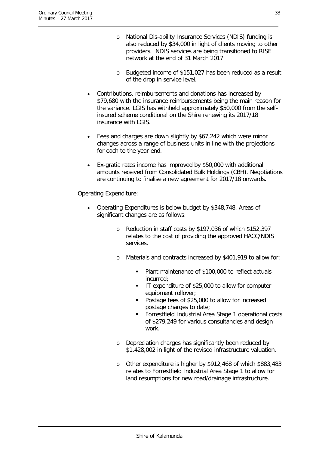- o National Dis-ability Insurance Services (NDIS) funding is also reduced by \$34,000 in light of clients moving to other providers. NDIS services are being transitioned to RISE network at the end of 31 March 2017
- o Budgeted income of \$151,027 has been reduced as a result of the drop in service level.
- Contributions, reimbursements and donations has increased by \$79,680 with the insurance reimbursements being the main reason for the variance. LGIS has withheld approximately \$50,000 from the selfinsured scheme conditional on the Shire renewing its 2017/18 insurance with LGIS.
- Fees and charges are down slightly by \$67,242 which were minor changes across a range of business units in line with the projections for each to the year end.
- Ex-gratia rates income has improved by \$50,000 with additional amounts received from Consolidated Bulk Holdings (CBH). Negotiations are continuing to finalise a new agreement for 2017/18 onwards.

Operating Expenditure:

- Operating Expenditures is below budget by \$348,748. Areas of significant changes are as follows:
	- o Reduction in staff costs by \$197,036 of which \$152,397 relates to the cost of providing the approved HACC/NDIS services.
	- o Materials and contracts increased by \$401,919 to allow for:
		- Plant maintenance of \$100,000 to reflect actuals incurred;
		- I IT expenditure of \$25,000 to allow for computer equipment rollover;
		- **Postage fees of \$25,000 to allow for increased** postage charges to date;
		- Forrestfield Industrial Area Stage 1 operational costs of \$279,249 for various consultancies and design work.
	- o Depreciation charges has significantly been reduced by \$1,428,002 in light of the revised infrastructure valuation.
	- o Other expenditure is higher by \$912,468 of which \$883,483 relates to Forrestfield Industrial Area Stage 1 to allow for land resumptions for new road/drainage infrastructure.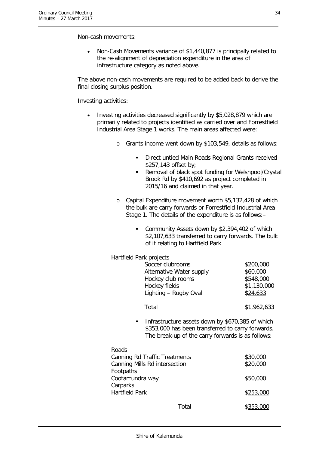Non-cash movements:

• Non-Cash Movements variance of \$1,440,877 is principally related to the re-alignment of depreciation expenditure in the area of infrastructure category as noted above.

The above non-cash movements are required to be added back to derive the final closing surplus position.

Investing activities:

- Investing activities decreased significantly by \$5,028,879 which are primarily related to projects identified as carried over and Forrestfield Industrial Area Stage 1 works. The main areas affected were:
	- o Grants income went down by \$103,549, details as follows:
		- **Direct untied Main Roads Regional Grants received** \$257,143 offset by;
		- Removal of black spot funding for Welshpool/Crystal Brook Rd by \$410,692 as project completed in 2015/16 and claimed in that year.
	- o Capital Expenditure movement worth \$5,132,428 of which the bulk are carry forwards or Forrestfield Industrial Area Stage 1. The details of the expenditure is as follows:–
		- **Community Assets down by \$2,394,402 of which** \$2,107,633 transferred to carry forwards. The bulk of it relating to Hartfield Park

| Hartfield Park projects  |             |
|--------------------------|-------------|
| Soccer clubrooms         | \$200,000   |
| Alternative Water supply | \$60,000    |
| Hockey club rooms        | \$548,000   |
| Hockey fields            | \$1,130,000 |
| Lighting - Rugby Oval    | \$24,633    |
| Total                    | \$1,962,633 |
|                          |             |

 Infrastructure assets down by \$670,385 of which \$353,000 has been transferred to carry forwards. The break-up of the carry forwards is as follows:

| Roads                                |           |
|--------------------------------------|-----------|
| <b>Canning Rd Traffic Treatments</b> | \$30,000  |
| Canning Mills Rd intersection        | \$20,000  |
| Footpaths                            |           |
| Cootamundra way                      | \$50,000  |
| Carparks                             |           |
| <b>Hartfield Park</b>                | \$253,000 |
| Total                                | \$353,000 |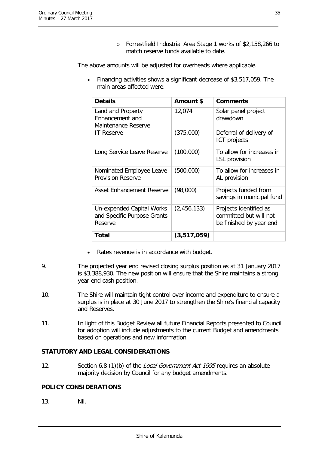o Forrestfield Industrial Area Stage 1 works of \$2,158,266 to match reserve funds available to date.

The above amounts will be adjusted for overheads where applicable.

• Financing activities shows a significant decrease of \$3,517,059. The main areas affected were:

| <b>Details</b>                                                      | Amount \$   | <b>Comments</b>                                                             |
|---------------------------------------------------------------------|-------------|-----------------------------------------------------------------------------|
| Land and Property<br>Enhancement and<br>Maintenance Reserve         | 12,074      | Solar panel project<br>drawdown                                             |
| <b>IT Reserve</b>                                                   | (375,000)   | Deferral of delivery of<br><b>ICT</b> projects                              |
| Long Service Leave Reserve                                          | (100,000)   | To allow for increases in<br>LSL provision                                  |
| Nominated Employee Leave<br><b>Provision Reserve</b>                | (500,000)   | To allow for increases in<br>AL provision                                   |
| <b>Asset Enhancement Reserve</b>                                    | (98,000)    | Projects funded from<br>savings in municipal fund                           |
| Un-expended Capital Works<br>and Specific Purpose Grants<br>Reserve | (2,456,133) | Projects identified as<br>committed but will not<br>be finished by year end |
| Total                                                               | (3,517,059) |                                                                             |

- Rates revenue is in accordance with budget.
- 9. The projected year end revised closing surplus position as at 31 January 2017 is \$3,388,930. The new position will ensure that the Shire maintains a strong year end cash position.
- 10. The Shire will maintain tight control over income and expenditure to ensure a surplus is in place at 30 June 2017 to strengthen the Shire's financial capacity and Reserves.
- 11. In light of this Budget Review all future Financial Reports presented to Council for adoption will include adjustments to the current Budget and amendments based on operations and new information.

#### **STATUTORY AND LEGAL CONSIDERATIONS**

12. Section 6.8 (1)(b) of the Local Government Act 1995 requires an absolute majority decision by Council for any budget amendments.

#### **POLICY CONSIDERATIONS**

13. Nil.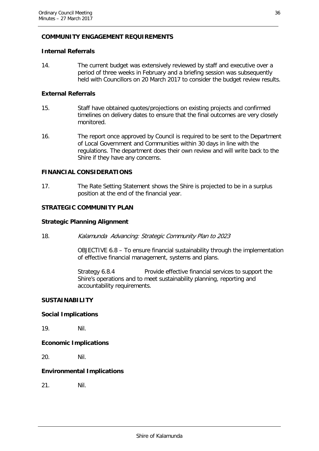#### **COMMUNITY ENGAGEMENT REQUIREMENTS**

#### **Internal Referrals**

14. The current budget was extensively reviewed by staff and executive over a period of three weeks in February and a briefing session was subsequently held with Councillors on 20 March 2017 to consider the budget review results.

#### **External Referrals**

- 15. Staff have obtained quotes/projections on existing projects and confirmed timelines on delivery dates to ensure that the final outcomes are very closely monitored.
- 16. The report once approved by Council is required to be sent to the Department of Local Government and Communities within 30 days in line with the regulations. The department does their own review and will write back to the Shire if they have any concerns.

#### **FINANCIAL CONSIDERATIONS**

17. The Rate Setting Statement shows the Shire is projected to be in a surplus position at the end of the financial year.

#### **STRATEGIC COMMUNITY PLAN**

#### **Strategic Planning Alignment**

18. Kalamunda Advancing: Strategic Community Plan to 2023

OBJECTIVE 6.8 – To ensure financial sustainability through the implementation of effective financial management, systems and plans.

Strategy 6.8.4 Provide effective financial services to support the Shire's operations and to meet sustainability planning, reporting and accountability requirements.

#### **SUSTAINABILITY**

#### **Social Implications**

19. Nil.

#### **Economic Implications**

20. Nil.

#### **Environmental Implications**

21. Nil.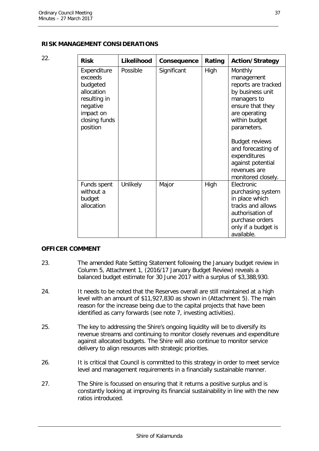| 22. | <b>Risk</b>                                                                                                            | Likelihood | Consequence | Rating | <b>Action/Strategy</b>                                                                                                                               |
|-----|------------------------------------------------------------------------------------------------------------------------|------------|-------------|--------|------------------------------------------------------------------------------------------------------------------------------------------------------|
|     | Expenditure<br>exceeds<br>budgeted<br>allocation<br>resulting in<br>negative<br>impact on<br>closing funds<br>position | Possible   | Significant | High   | Monthly<br>management<br>reports are tracked<br>by business unit<br>managers to<br>ensure that they<br>are operating<br>within budget<br>parameters. |
|     |                                                                                                                        |            |             |        | <b>Budget reviews</b><br>and forecasting of<br>expenditures<br>against potential<br>revenues are<br>monitored closely.                               |
|     | Funds spent<br>without a<br>budget<br>allocation                                                                       | Unlikely   | Major       | High   | Electronic<br>purchasing system<br>in place which<br>tracks and allows<br>authorisation of<br>purchase orders<br>only if a budget is<br>available.   |

#### **OFFICER COMMENT**

- 23. The amended Rate Setting Statement following the January budget review in Column 5, Attachment 1, (2016/17 January Budget Review) reveals a balanced budget estimate for 30 June 2017 with a surplus of \$3,388,930.
- 24. It needs to be noted that the Reserves overall are still maintained at a high level with an amount of \$11,927,830 as shown in (Attachment 5). The main reason for the increase being due to the capital projects that have been identified as carry forwards (see note 7, investing activities).
- 25. The key to addressing the Shire's ongoing liquidity will be to diversify its revenue streams and continuing to monitor closely revenues and expenditure against allocated budgets. The Shire will also continue to monitor service delivery to align resources with strategic priorities.
- 26. It is critical that Council is committed to this strategy in order to meet service level and management requirements in a financially sustainable manner.
- 27. The Shire is focussed on ensuring that it returns a positive surplus and is constantly looking at improving its financial sustainability in line with the new ratios introduced.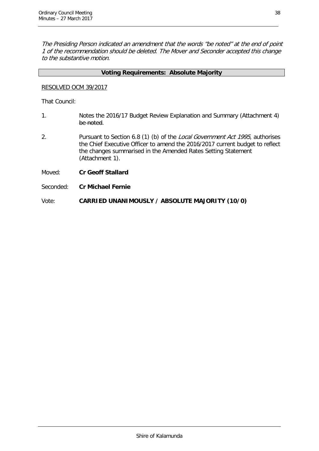The Presiding Person indicated an amendment that the words "be noted" at the end of point 1 of the recommendation should be deleted. The Mover and Seconder accepted this change to the substantive motion.

#### **Voting Requirements: Absolute Majority**

#### RESOLVED OCM 39/2017

That Council:

- 1. Notes the 2016/17 Budget Review Explanation and Summary (Attachment 4) be noted.
- 2. Pursuant to Section 6.8 (1) (b) of the Local Government Act 1995, authorises the Chief Executive Officer to amend the 2016/2017 current budget to reflect the changes summarised in the Amended Rates Setting Statement (Attachment 1).
- Moved: **Cr Geoff Stallard**
- Seconded: **Cr Michael Fernie**

Vote: **CARRIED UNANIMOUSLY / ABSOLUTE MAJORITY (10/0)**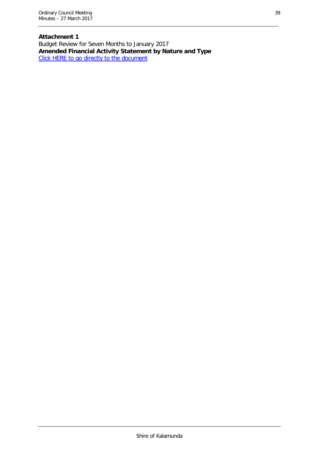**Attachment 1** Budget Review for Seven Months to January 2017 **Amended Financial Activity Statement by Nature and Type** [Click HERE to go directly to the document](http://www.kalamunda.wa.gov.au/files/55ce52c6-cebd-46c4-861f-a73f00e8a554/Item-1043-Att-1-OCM-27-March-2017.pdf)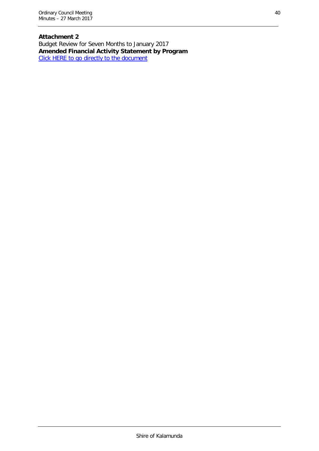**Attachment 2** Budget Review for Seven Months to January 2017 **Amended Financial Activity Statement by Program** [Click HERE to go directly to the document](http://www.kalamunda.wa.gov.au/files/8cf77ecb-c5cf-48da-b213-a73f00e8db62/Item-1043-Att-2-OCM-27-March-2017.pdf)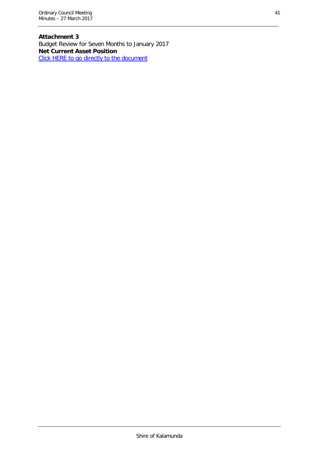**Attachment 3** Budget Review for Seven Months to January 2017 **Net Current Asset Position** [Click HERE to go directly to the document](http://www.kalamunda.wa.gov.au/files/63449c67-c50d-48ae-80f3-a73f00e91678/Item-1043-Att-3-OCM-27-March-2017.pdf)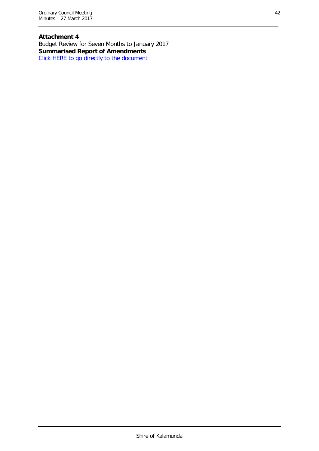**Attachment 4** Budget Review for Seven Months to January 2017 **Summarised Report of Amendments** [Click HERE to go directly to the document](http://www.kalamunda.wa.gov.au/files/9975973e-348b-40d9-b314-a73f00e9452a/Item-1043-Att-4-OCM-27-March-2017.pdf)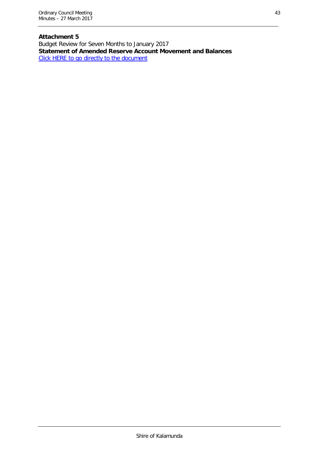# **Attachment 5**

Budget Review for Seven Months to January 2017 **Statement of Amended Reserve Account Movement and Balances** [Click HERE to go directly to the document](http://www.kalamunda.wa.gov.au/files/3b9db2fc-28a6-48c5-b31f-a73f00e9a931/Item-1043-Att-5-OCM-27-March-2017.pdf)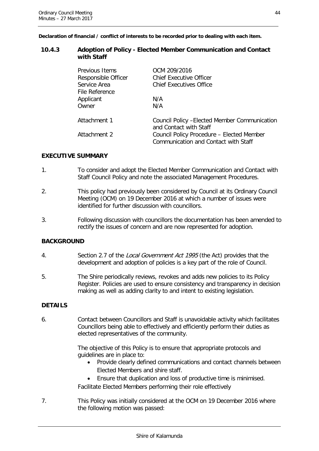**Declaration of financial / conflict of interests to be recorded prior to dealing with each item.**

#### <span id="page-44-0"></span>**10.4.3 Adoption of Policy - Elected Member Communication and Contact with Staff**

| Previous Items<br>Responsible Officer<br>Service Area<br>File Reference | OCM 209/2016<br><b>Chief Executive Officer</b><br>Chief Executives Office         |
|-------------------------------------------------------------------------|-----------------------------------------------------------------------------------|
| Applicant                                                               | N/A                                                                               |
| Owner                                                                   | N/A                                                                               |
| Attachment 1                                                            | Council Policy - Elected Member Communication<br>and Contact with Staff           |
| Attachment 2                                                            | Council Policy Procedure - Elected Member<br>Communication and Contact with Staff |

#### **EXECUTIVE SUMMARY**

- 1. To consider and adopt the Elected Member Communication and Contact with Staff Council Policy and note the associated Management Procedures.
- 2. This policy had previously been considered by Council at its Ordinary Council Meeting (OCM) on 19 December 2016 at which a number of issues were identified for further discussion with councillors.
- 3. Following discussion with councillors the documentation has been amended to rectify the issues of concern and are now represented for adoption.

#### **BACKGROUND**

- 4. Section 2.7 of the Local Government Act 1995 (the Act) provides that the development and adoption of policies is a key part of the role of Council.
- 5. The Shire periodically reviews, revokes and adds new policies to its Policy Register. Policies are used to ensure consistency and transparency in decision making as well as adding clarity to and intent to existing legislation.

#### **DETAILS**

6. Contact between Councillors and Staff is unavoidable activity which facilitates Councillors being able to effectively and efficiently perform their duties as elected representatives of the community.

> The objective of this Policy is to ensure that appropriate protocols and guidelines are in place to:

- Provide clearly defined communications and contact channels between Elected Members and shire staff.
- Ensure that duplication and loss of productive time is minimised. Facilitate Elected Members performing their role effectively
- 7. This Policy was initially considered at the OCM on 19 December 2016 where the following motion was passed: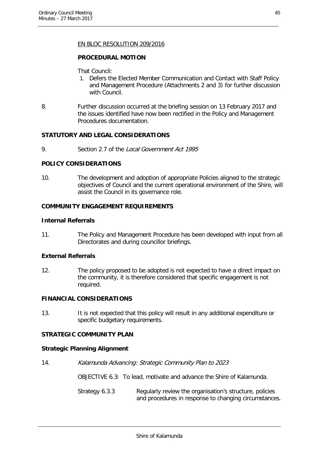#### EN BLOC RESOLUTION 209/2016

#### **PROCEDURAL MOTION**

That Council:

- 1. Defers the Elected Member Communication and Contact with Staff Policy and Management Procedure (Attachments 2 and 3) for further discussion with Council.
- 8. Further discussion occurred at the briefing session on 13 February 2017 and the issues identified have now been rectified in the Policy and Management Procedures documentation.

#### **STATUTORY AND LEGAL CONSIDERATIONS**

9. Section 2.7 of the Local Government Act 1995

#### **POLICY CONSIDERATIONS**

10. The development and adoption of appropriate Policies aligned to the strategic objectives of Council and the current operational environment of the Shire, will assist the Council in its governance role.

#### **COMMUNITY ENGAGEMENT REQUIREMENTS**

#### **Internal Referrals**

11. The Policy and Management Procedure has been developed with input from all Directorates and during councillor briefings.

#### **External Referrals**

12. The policy proposed to be adopted is not expected to have a direct impact on the community, it is therefore considered that specific engagement is not required.

#### **FINANCIAL CONSIDERATIONS**

13. It is not expected that this policy will result in any additional expenditure or specific budgetary requirements.

#### **STRATEGIC COMMUNITY PLAN**

#### **Strategic Planning Alignment**

14. Kalamunda Advancing: Strategic Community Plan to 2023

OBJECTIVE 6.3: To lead, motivate and advance the Shire of Kalamunda.

Strategy 6.3.3 Regularly review the organisation's structure, policies and procedures in response to changing circumstances.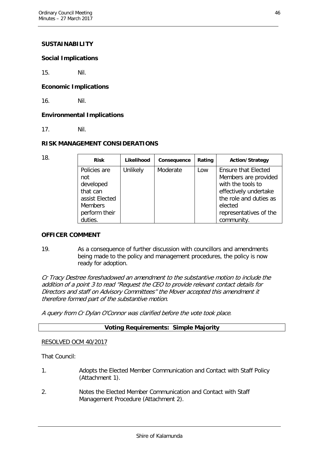#### **SUSTAINABILITY**

#### **Social Implications**

15. Nil.

#### **Economic Implications**

16. Nil.

#### **Environmental Implications**

17. Nil.

#### **RISK MANAGEMENT CONSIDERATIONS**

| 18. | <b>Risk</b>                                                                                                  | Likelihood | Consequence | Rating | <b>Action/Strategy</b>                                                                                                                                                        |
|-----|--------------------------------------------------------------------------------------------------------------|------------|-------------|--------|-------------------------------------------------------------------------------------------------------------------------------------------------------------------------------|
|     | Policies are<br>not<br>developed<br>that can<br>assist Elected<br><b>Members</b><br>perform their<br>duties. | Unlikely   | Moderate    | Low    | <b>Ensure that Elected</b><br>Members are provided<br>with the tools to<br>effectively undertake<br>the role and duties as<br>elected<br>representatives of the<br>community. |

#### **OFFICER COMMENT**

19. As a consequence of further discussion with councillors and amendments being made to the policy and management procedures, the policy is now ready for adoption.

Cr Tracy Destree foreshadowed an amendment to the substantive motion to include the addition of a point 3 to read "Request the CEO to provide relevant contact details for Directors and staff on Advisory Committees" the Mover accepted this amendment it therefore formed part of the substantive motion.

A query from Cr Dylan O'Connor was clarified before the vote took place.

#### **Voting Requirements: Simple Majority**

#### RESOLVED OCM 40/2017

That Council:

- 1. Adopts the Elected Member Communication and Contact with Staff Policy (Attachment 1).
- 2. Notes the Elected Member Communication and Contact with Staff Management Procedure (Attachment 2).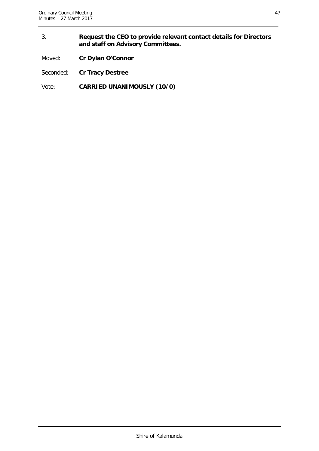#### 3. **Request the CEO to provide relevant contact details for Directors and staff on Advisory Committees.**

Moved: **Cr Dylan O'Connor**

Seconded: **Cr Tracy Destree**

Vote: **CARRIED UNANIMOUSLY (10/0)**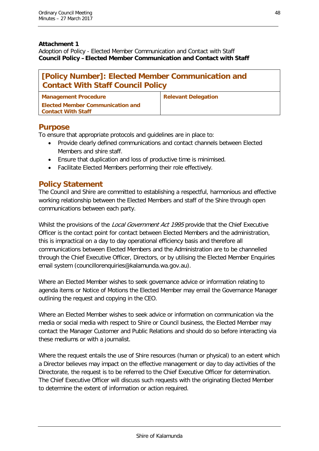#### **Attachment 1**

Adoption of Policy - Elected Member Communication and Contact with Staff **Council Policy –Elected Member Communication and Contact with Staff**

| [Policy Number]: Elected Member Communication and<br><b>Contact With Staff Council Policy</b> |                            |  |  |  |
|-----------------------------------------------------------------------------------------------|----------------------------|--|--|--|
| <b>Management Procedure</b>                                                                   | <b>Relevant Delegation</b> |  |  |  |
| <b>Elected Member Communication and</b><br><b>Contact With Staff</b>                          |                            |  |  |  |

# **Purpose**

To ensure that appropriate protocols and guidelines are in place to:

- Provide clearly defined communications and contact channels between Elected Members and shire staff.
- Ensure that duplication and loss of productive time is minimised.
- Facilitate Elected Members performing their role effectively.

# **Policy Statement**

The Council and Shire are committed to establishing a respectful, harmonious and effective working relationship between the Elected Members and staff of the Shire through open communications between each party.

Whilst the provisions of the *Local Government Act 1995* provide that the Chief Executive Officer is the contact point for contact between Elected Members and the administration, this is impractical on a day to day operational efficiency basis and therefore all communications between Elected Members and the Administration are to be channelled through the Chief Executive Officer, Directors, or by utilising the Elected Member Enquiries email system (councillorenquiries@kalamunda.wa.gov.au).

Where an Elected Member wishes to seek governance advice or information relating to agenda items or Notice of Motions the Elected Member may email the Governance Manager outlining the request and copying in the CEO.

Where an Elected Member wishes to seek advice or information on communication via the media or social media with respect to Shire or Council business, the Elected Member may contact the Manager Customer and Public Relations and should do so before interacting via these mediums or with a journalist.

Where the request entails the use of Shire resources (human or physical) to an extent which a Director believes may impact on the effective management or day to day activities of the Directorate, the request is to be referred to the Chief Executive Officer for determination. The Chief Executive Officer will discuss such requests with the originating Elected Member to determine the extent of information or action required.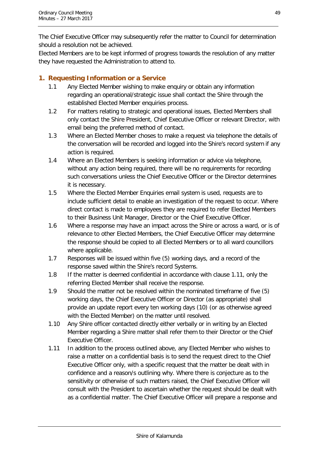The Chief Executive Officer may subsequently refer the matter to Council for determination should a resolution not be achieved.

Elected Members are to be kept informed of progress towards the resolution of any matter they have requested the Administration to attend to.

# **1. Requesting Information or a Service**

- 1.1 Any Elected Member wishing to make enquiry or obtain any information regarding an operational/strategic issue shall contact the Shire through the established Elected Member enquiries process.
- 1.2 For matters relating to strategic and operational issues, Elected Members shall only contact the Shire President, Chief Executive Officer or relevant Director, with email being the preferred method of contact.
- 1.3 Where an Elected Member choses to make a request via telephone the details of the conversation will be recorded and logged into the Shire's record system if any action is required.
- 1.4 Where an Elected Members is seeking information or advice via telephone, without any action being required, there will be no requirements for recording such conversations unless the Chief Executive Officer or the Director determines it is necessary.
- 1.5 Where the Elected Member Enquiries email system is used, requests are to include sufficient detail to enable an investigation of the request to occur. Where direct contact is made to employees they are required to refer Elected Members to their Business Unit Manager, Director or the Chief Executive Officer.
- 1.6 Where a response may have an impact across the Shire or across a ward, or is of relevance to other Elected Members, the Chief Executive Officer may determine the response should be copied to all Elected Members or to all ward councillors where applicable.
- 1.7 Responses will be issued within five (5) working days, and a record of the response saved within the Shire's record Systems.
- 1.8 If the matter is deemed confidential in accordance with clause 1.11, only the referring Elected Member shall receive the response.
- 1.9 Should the matter not be resolved within the nominated timeframe of five (5) working days, the Chief Executive Officer or Director (as appropriate) shall provide an update report every ten working days (10) (or as otherwise agreed with the Elected Member) on the matter until resolved.
- 1.10 Any Shire officer contacted directly either verbally or in writing by an Elected Member regarding a Shire matter shall refer them to their Director or the Chief Executive Officer.
- 1.11 In addition to the process outlined above, any Elected Member who wishes to raise a matter on a confidential basis is to send the request direct to the Chief Executive Officer only, with a specific request that the matter be dealt with in confidence and a reason/s outlining why. Where there is conjecture as to the sensitivity or otherwise of such matters raised, the Chief Executive Officer will consult with the President to ascertain whether the request should be dealt with as a confidential matter. The Chief Executive Officer will prepare a response and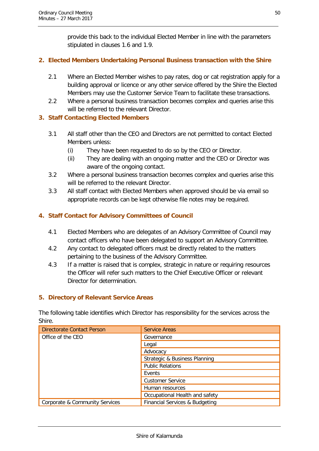provide this back to the individual Elected Member in line with the parameters stipulated in clauses 1.6 and 1.9.

#### **2. Elected Members Undertaking Personal Business transaction with the Shire**

- 2.1 Where an Elected Member wishes to pay rates, dog or cat registration apply for a building approval or licence or any other service offered by the Shire the Elected Members may use the Customer Service Team to facilitate these transactions.
- 2.2 Where a personal business transaction becomes complex and queries arise this will be referred to the relevant Director.

#### **3. Staff Contacting Elected Members**

- 3.1 All staff other than the CEO and Directors are not permitted to contact Elected Members unless:
	- (i) They have been requested to do so by the CEO or Director.
	- (ii) They are dealing with an ongoing matter and the CEO or Director was aware of the ongoing contact.
- 3.2 Where a personal business transaction becomes complex and queries arise this will be referred to the relevant Director.
- 3.3 All staff contact with Elected Members when approved should be via email so appropriate records can be kept otherwise file notes may be required.

# **4. Staff Contact for Advisory Committees of Council**

- 4.1 Elected Members who are delegates of an Advisory Committee of Council may contact officers who have been delegated to support an Advisory Committee.
- 4.2 Any contact to delegated officers must be directly related to the matters pertaining to the business of the Advisory Committee.
- 4.3 If a matter is raised that is complex, strategic in nature or requiring resources the Officer will refer such matters to the Chief Executive Officer or relevant Director for determination.

#### **5. Directory of Relevant Service Areas**

The following table identifies which Director has responsibility for the services across the Shire.

| Directorate Contact Person     | <b>Service Areas</b>           |
|--------------------------------|--------------------------------|
| Office of the CEO              | Governance                     |
|                                | Legal                          |
|                                | Advocacy                       |
|                                | Strategic & Business Planning  |
|                                | <b>Public Relations</b>        |
|                                | Events                         |
|                                | <b>Customer Service</b>        |
|                                | Human resources                |
|                                | Occupational Health and safety |
| Corporate & Community Services | Financial Services & Budgeting |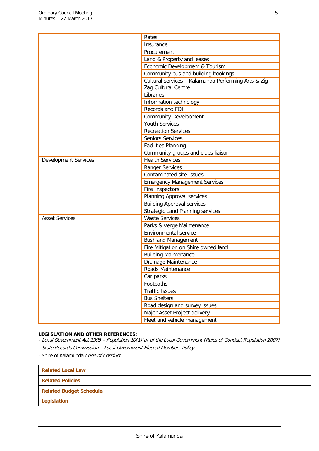|                             | Rates                                               |
|-----------------------------|-----------------------------------------------------|
|                             | Insurance                                           |
|                             | Procurement                                         |
|                             | Land & Property and leases                          |
|                             | Economic Development & Tourism                      |
|                             | Community bus and building bookings                 |
|                             | Cultural services - Kalamunda Performing Arts & Zig |
|                             | Zag Cultural Centre                                 |
|                             | Libraries                                           |
|                             | Information technology                              |
|                             | Records and FOI                                     |
|                             | <b>Community Development</b>                        |
|                             | <b>Youth Services</b>                               |
|                             | <b>Recreation Services</b>                          |
|                             | <b>Seniors Services</b>                             |
|                             | <b>Facilities Planning</b>                          |
|                             | Community groups and clubs liaison                  |
| <b>Development Services</b> | <b>Health Services</b>                              |
|                             | Ranger Services                                     |
|                             | <b>Contaminated site Issues</b>                     |
|                             | <b>Emergency Management Services</b>                |
|                             | Fire Inspectors                                     |
|                             | Planning Approval services                          |
|                             | <b>Building Approval services</b>                   |
|                             | <b>Strategic Land Planning services</b>             |
| <b>Asset Services</b>       | <b>Waste Services</b>                               |
|                             | Parks & Verge Maintenance                           |
|                             | Environmental service                               |
|                             | <b>Bushland Management</b>                          |
|                             | Fire Mitigation on Shire owned land                 |
|                             | <b>Building Maintenance</b>                         |
|                             | Drainage Maintenance                                |
|                             | Roads Maintenance                                   |
|                             | Car parks                                           |
|                             | Footpaths                                           |
|                             | <b>Traffic Issues</b>                               |
|                             | <b>Bus Shelters</b>                                 |
|                             | Road design and survey issues                       |
|                             | Major Asset Project delivery                        |
|                             | Fleet and vehicle management                        |

#### **LEGISLATION AND OTHER REFERENCES:**

- Local Government Act 1995 – Regulation 10(1)(a) of the Local Government (Rules of Conduct Regulation 2007)

- State Records Commission Local Government Elected Members Policy
- Shire of Kalamunda Code of Conduct

| <b>Related Local Law</b>       |  |
|--------------------------------|--|
| <b>Related Policies</b>        |  |
| <b>Related Budget Schedule</b> |  |
| Legislation                    |  |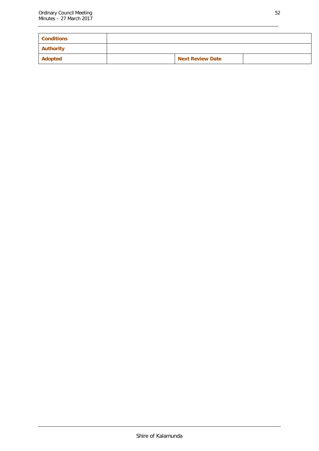| <b>Conditions</b> |                         |  |
|-------------------|-------------------------|--|
| Authority         |                         |  |
| Adopted           | <b>Next Review Date</b> |  |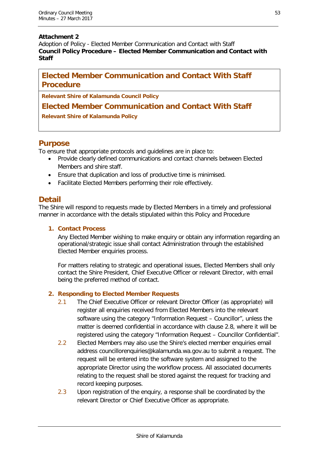#### **Attachment 2**

Adoption of Policy - Elected Member Communication and Contact with Staff **Council Policy Procedure – Elected Member Communication and Contact with Staff**

# **Elected Member Communication and Contact With Staff Procedure**

**Relevant Shire of Kalamunda Council Policy**

# **Elected Member Communication and Contact With Staff**

**Relevant Shire of Kalamunda Policy**

# **Purpose**

To ensure that appropriate protocols and guidelines are in place to:

- Provide clearly defined communications and contact channels between Elected Members and shire staff.
- Ensure that duplication and loss of productive time is minimised.
- Facilitate Elected Members performing their role effectively.

# **Detail**

The Shire will respond to requests made by Elected Members in a timely and professional manner in accordance with the details stipulated within this Policy and Procedure

#### **1. Contact Process**

Any Elected Member wishing to make enquiry or obtain any information regarding an operational/strategic issue shall contact Administration through the established Elected Member enquiries process.

For matters relating to strategic and operational issues, Elected Members shall only contact the Shire President, Chief Executive Officer or relevant Director, with email being the preferred method of contact.

#### **2. Responding to Elected Member Requests**

- 2.1 The Chief Executive Officer or relevant Director Officer (as appropriate) will register all enquiries received from Elected Members into the relevant software using the category "Information Request – Councillor", unless the matter is deemed confidential in accordance with clause 2.8, where it will be registered using the category "Information Request – Councillor Confidential".
- 2.2 Elected Members may also use the Shire's elected member enquiries email address councillorenquiries@kalamunda.wa.gov.au to submit a request. The request will be entered into the software system and assigned to the appropriate Director using the workflow process. All associated documents relating to the request shall be stored against the request for tracking and record keeping purposes.
- 2.3 Upon registration of the enquiry, a response shall be coordinated by the relevant Director or Chief Executive Officer as appropriate.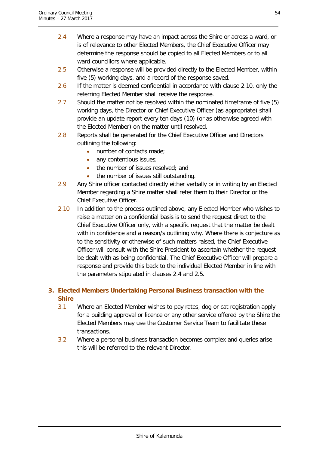- 2.4 Where a response may have an impact across the Shire or across a ward, or is of relevance to other Elected Members, the Chief Executive Officer may determine the response should be copied to all Elected Members or to all ward councillors where applicable.
- 2.5 Otherwise a response will be provided directly to the Elected Member, within five (5) working days, and a record of the response saved.
- 2.6 If the matter is deemed confidential in accordance with clause 2.10, only the referring Elected Member shall receive the response.
- 2.7 Should the matter not be resolved within the nominated timeframe of five (5) working days, the Director or Chief Executive Officer (as appropriate) shall provide an update report every ten days (10) (or as otherwise agreed with the Elected Member) on the matter until resolved.
- 2.8 Reports shall be generated for the Chief Executive Officer and Directors outlining the following:
	- number of contacts made;
	- any contentious issues;
	- the number of issues resolved; and
	- the number of issues still outstanding.
- 2.9 Any Shire officer contacted directly either verbally or in writing by an Elected Member regarding a Shire matter shall refer them to their Director or the Chief Executive Officer.
- 2.10 In addition to the process outlined above, any Elected Member who wishes to raise a matter on a confidential basis is to send the request direct to the Chief Executive Officer only, with a specific request that the matter be dealt with in confidence and a reason/s outlining why. Where there is conjecture as to the sensitivity or otherwise of such matters raised, the Chief Executive Officer will consult with the Shire President to ascertain whether the request be dealt with as being confidential. The Chief Executive Officer will prepare a response and provide this back to the individual Elected Member in line with the parameters stipulated in clauses 2.4 and 2.5.

# **3. Elected Members Undertaking Personal Business transaction with the Shire**

- 3.1 Where an Elected Member wishes to pay rates, dog or cat registration apply for a building approval or licence or any other service offered by the Shire the Elected Members may use the Customer Service Team to facilitate these transactions.
- 3.2 Where a personal business transaction becomes complex and queries arise this will be referred to the relevant Director.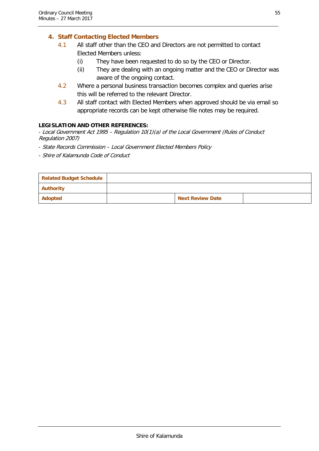### **4. Staff Contacting Elected Members**

- 4.1 All staff other than the CEO and Directors are not permitted to contact Elected Members unless:
	- (i) They have been requested to do so by the CEO or Director.
	- (ii) They are dealing with an ongoing matter and the CEO or Director was aware of the ongoing contact.
- 4.2 Where a personal business transaction becomes complex and queries arise this will be referred to the relevant Director.
- 4.3 All staff contact with Elected Members when approved should be via email so appropriate records can be kept otherwise file notes may be required.

#### **LEGISLATION AND OTHER REFERENCES:**

- Local Government Act 1995 – Regulation 10(1)(a) of the Local Government (Rules of Conduct Regulation 2007)

- State Records Commission Local Government Elected Members Policy
- Shire of Kalamunda Code of Conduct

| <b>Related Budget Schedule</b> |                         |  |
|--------------------------------|-------------------------|--|
| <b>Authority</b>               |                         |  |
| Adopted                        | <b>Next Review Date</b> |  |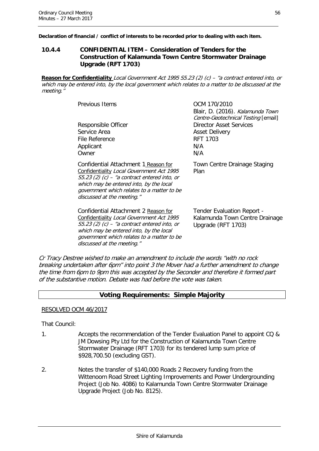**Declaration of financial / conflict of interests to be recorded prior to dealing with each item.**

#### <span id="page-56-0"></span>**10.4.4 CONFIDENTIAL ITEM – Consideration of Tenders for the Construction of Kalamunda Town Centre Stormwater Drainage Upgrade (RFT 1703)**

**Reason for Confidentiality** Local Government Act 1995 S5.23 (2) (c) – "a contract entered into, or which may be entered into, by the local government which relates to a matter to be discussed at the meeting."

| <b>Previous Items</b>                                                                                                                                                                                                                                      | OCM 170/2010<br>Blair, D. (2016). Kalamunda Town<br>Centre-Geotechnical Testing [email]  |
|------------------------------------------------------------------------------------------------------------------------------------------------------------------------------------------------------------------------------------------------------------|------------------------------------------------------------------------------------------|
| Responsible Officer<br>Service Area<br>File Reference<br>Applicant<br>Owner                                                                                                                                                                                | <b>Director Asset Services</b><br><b>Asset Delivery</b><br><b>RFT 1703</b><br>N/A<br>N/A |
| Confidential Attachment 1 Reason for<br>Confidentiality Local Government Act 1995<br>$55.23$ (2) (c) – "a contract entered into, or<br>which may be entered into, by the local<br>government which relates to a matter to be<br>discussed at the meeting." | Town Centre Drainage Staging<br>Plan                                                     |
| Confidential Attachment 2 Reason for<br>Confidentiality Local Government Act 1995<br>$55.23$ (2) (c) – "a contract entered into, or<br>which may be entered into, by the local<br>government which relates to a matter to be<br>discussed at the meeting." | Tender Evaluation Report -<br>Kalamunda Town Centre Drainage<br>Upgrade (RFT 1703)       |

Cr Tracy Destree wished to make an amendment to include the words "with no rock breaking undertaken after 6pm" into point 3 the Mover had a further amendment to change the time from 6pm to 9pm this was accepted by the Seconder and therefore it formed part of the substantive motion. Debate was had before the vote was taken.

#### **Voting Requirements: Simple Majority**

RESOLVED OCM 46/2017

That Council:

- 1. Accepts the recommendation of the Tender Evaluation Panel to appoint CQ & JM Dowsing Pty Ltd for the Construction of Kalamunda Town Centre Stormwater Drainage (RFT 1703) for its tendered lump sum price of \$928,700.50 (excluding GST).
- 2. Notes the transfer of \$140,000 Roads 2 Recovery funding from the Wittenoom Road Street Lighting Improvements and Power Undergrounding Project (Job No. 4086) to Kalamunda Town Centre Stormwater Drainage Upgrade Project (Job No. 8125).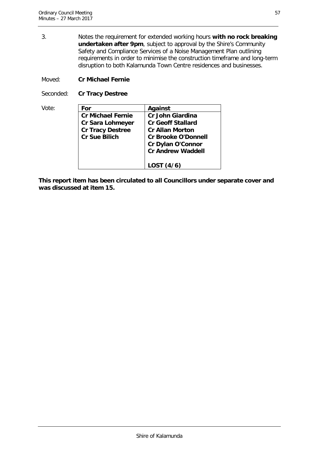3. Notes the requirement for extended working hours **with no rock breaking undertaken after 9pm**, subject to approval by the Shire's Community Safety and Compliance Services of a Noise Management Plan outlining requirements in order to minimise the construction timeframe and long-term disruption to both Kalamunda Town Centre residences and businesses.

Moved: **Cr Michael Fernie**

Seconded: **Cr Tracy Destree**

| Vote: | For                      | Against                    |
|-------|--------------------------|----------------------------|
|       | <b>Cr Michael Fernie</b> | <b>Cr John Giardina</b>    |
|       | <b>Cr Sara Lohmeyer</b>  | <b>Cr Geoff Stallard</b>   |
|       | <b>Cr Tracy Destree</b>  | <b>Cr Allan Morton</b>     |
|       | <b>Cr Sue Bilich</b>     | <b>Cr Brooke O'Donnell</b> |
|       |                          | Cr Dylan O'Connor          |
|       |                          | <b>Cr Andrew Waddell</b>   |
|       |                          | LOST (4/6)                 |

**This report item has been circulated to all Councillors under separate cover and was discussed at item 15.**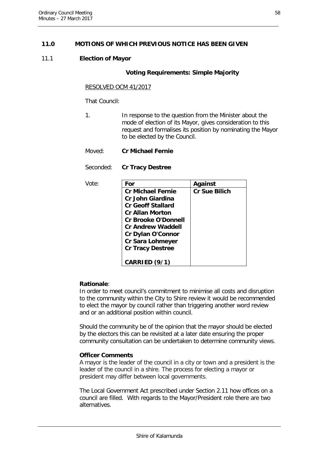#### <span id="page-58-0"></span>**11.0 MOTIONS OF WHICH PREVIOUS NOTICE HAS BEEN GIVEN**

#### 11.1 **Election of Mayor**

#### **Voting Requirements: Simple Majority**

#### RESOLVED OCM 41/2017

That Council:

- 1. In response to the question from the Minister about the mode of election of its Mayor, gives consideration to this request and formalises its position by nominating the Mayor to be elected by the Council.
- Moved: **Cr Michael Fernie**

Seconded: **Cr Tracy Destree**

| Vote: | For                        | <b>Against</b>       |
|-------|----------------------------|----------------------|
|       | <b>Cr Michael Fernie</b>   | <b>Cr Sue Bilich</b> |
|       | <b>Cr John Giardina</b>    |                      |
|       | <b>Cr Geoff Stallard</b>   |                      |
|       | <b>Cr Allan Morton</b>     |                      |
|       | <b>Cr Brooke O'Donnell</b> |                      |
|       | <b>Cr Andrew Waddell</b>   |                      |
|       | <b>Cr Dylan O'Connor</b>   |                      |
|       | <b>Cr Sara Lohmeyer</b>    |                      |
|       | <b>Cr Tracy Destree</b>    |                      |
|       |                            |                      |
|       | CARRIED (9/1)              |                      |

#### **Rationale**:

In order to meet council's commitment to minimise all costs and disruption to the community within the City to Shire review it would be recommended to elect the mayor by council rather than triggering another word review and or an additional position within council.

Should the community be of the opinion that the mayor should be elected by the electors this can be revisited at a later date ensuring the proper community consultation can be undertaken to determine community views.

#### **Officer Comments**

A mayor is the leader of the council in a city or town and a president is the leader of the council in a shire. The process for electing a mayor or president may differ between local governments.

The Local Government Act prescribed under Section 2.11 how offices on a council are filled. With regards to the Mayor/President role there are two alternatives.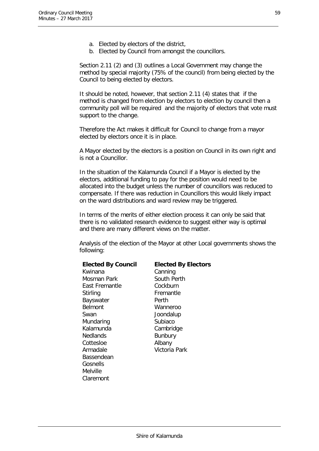- a. Elected by electors of the district,
- b. Elected by Council from amongst the councillors.

Section 2.11 (2) and (3) outlines a Local Government may change the method by special majority (75% of the council) from being elected by the Council to being elected by electors.

It should be noted, however, that section 2.11 (4) states that if the method is changed from election by electors to election by council then a community poll will be required and the majority of electors that vote must support to the change.

Therefore the Act makes it difficult for Council to change from a mayor elected by electors once it is in place.

A Mayor elected by the electors is a position on Council in its own right and is not a Councillor.

In the situation of the Kalamunda Council if a Mayor is elected by the electors, additional funding to pay for the position would need to be allocated into the budget unless the number of councillors was reduced to compensate. If there was reduction in Councillors this would likely impact on the ward distributions and ward review may be triggered.

In terms of the merits of either election process it can only be said that there is no validated research evidence to suggest either way is optimal and there are many different views on the matter.

Analysis of the election of the Mayor at other Local governments shows the following:

| <b>Elected By Council</b> | <b>Elected By Electors</b> |
|---------------------------|----------------------------|
| Kwinana                   | Canning                    |
| Mosman Park               | South Perth                |
| East Fremantle            | Cockburn                   |
| Stirling                  | Fremantle                  |
| Bayswater                 | Perth                      |
| <b>Belmont</b>            | Wanneroo                   |
| Swan                      | Joondalup                  |
| Mundaring                 | Subiaco                    |
| Kalamunda                 | Cambridge                  |
| <b>Nedlands</b>           | <b>Bunbury</b>             |
| Cottesloe                 | Albany                     |
| Armadale                  | Victoria Park              |
| Bassendean                |                            |
| Gosnells                  |                            |
| Melville                  |                            |
| Claremont                 |                            |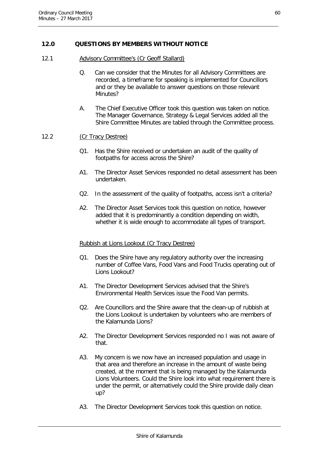#### <span id="page-60-0"></span>**12.0 QUESTIONS BY MEMBERS WITHOUT NOTICE**

- 12.1 Advisory Committee's (Cr Geoff Stallard)
	- Q. Can we consider that the Minutes for all Advisory Committees are recorded, a timeframe for speaking is implemented for Councillors and or they be available to answer questions on those relevant Minutes?
	- A. The Chief Executive Officer took this question was taken on notice. The Manager Governance, Strategy & Legal Services added all the Shire Committee Minutes are tabled through the Committee process.

#### 12.2 (Cr Tracy Destree)

- Q1. Has the Shire received or undertaken an audit of the quality of footpaths for access across the Shire?
- A1. The Director Asset Services responded no detail assessment has been undertaken.
- Q2. In the assessment of the quality of footpaths, access isn't a criteria?
- A2. The Director Asset Services took this question on notice, however added that it is predominantly a condition depending on width, whether it is wide enough to accommodate all types of transport.

#### Rubbish at Lions Lookout (Cr Tracy Destree)

- Q1. Does the Shire have any regulatory authority over the increasing number of Coffee Vans, Food Vans and Food Trucks operating out of Lions Lookout?
- A1. The Director Development Services advised that the Shire's Environmental Health Services issue the Food Van permits.
- Q2. Are Councillors and the Shire aware that the clean-up of rubbish at the Lions Lookout is undertaken by volunteers who are members of the Kalamunda Lions?
- A2. The Director Development Services responded no I was not aware of that.
- A3. My concern is we now have an increased population and usage in that area and therefore an increase in the amount of waste being created, at the moment that is being managed by the Kalamunda Lions Volunteers. Could the Shire look into what requirement there is under the permit, or alternatively could the Shire provide daily clean up?
- A3. The Director Development Services took this question on notice.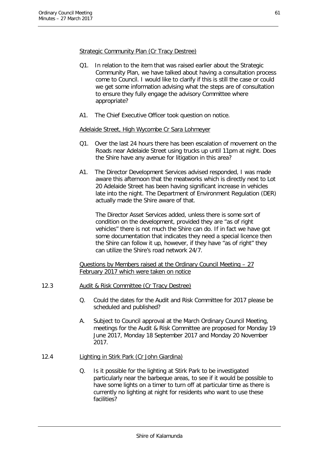Strategic Community Plan (Cr Tracy Destree)

- Q1. In relation to the item that was raised earlier about the Strategic Community Plan, we have talked about having a consultation process come to Council. I would like to clarify if this is still the case or could we get some information advising what the steps are of consultation to ensure they fully engage the advisory Committee where appropriate?
- A1. The Chief Executive Officer took question on notice.

#### Adelaide Street, High Wycombe Cr Sara Lohmeyer

- Q1. Over the last 24 hours there has been escalation of movement on the Roads near Adelaide Street using trucks up until 11pm at night. Does the Shire have any avenue for litigation in this area?
- A1. The Director Development Services advised responded, I was made aware this afternoon that the meatworks which is directly next to Lot 20 Adelaide Street has been having significant increase in vehicles late into the night. The Department of Environment Regulation (DER) actually made the Shire aware of that.

The Director Asset Services added, unless there is some sort of condition on the development, provided they are "as of right vehicles" there is not much the Shire can do. If in fact we have got some documentation that indicates they need a special licence then the Shire can follow it up, however, if they have "as of right" they can utilize the Shire's road network 24/7.

Questions by Members raised at the Ordinary Council Meeting – 27 February 2017 which were taken on notice

- 12.3 Audit & Risk Committee (Cr Tracy Destree)
	- Q. Could the dates for the Audit and Risk Committee for 2017 please be scheduled and published?
	- A. Subject to Council approval at the March Ordinary Council Meeting, meetings for the Audit & Risk Committee are proposed for Monday 19 June 2017, Monday 18 September 2017 and Monday 20 November 2017.
- 12.4 Lighting in Stirk Park (Cr John Giardina)
	- Q. Is it possible for the lighting at Stirk Park to be investigated particularly near the barbeque areas, to see if it would be possible to have some lights on a timer to turn off at particular time as there is currently no lighting at night for residents who want to use these facilities?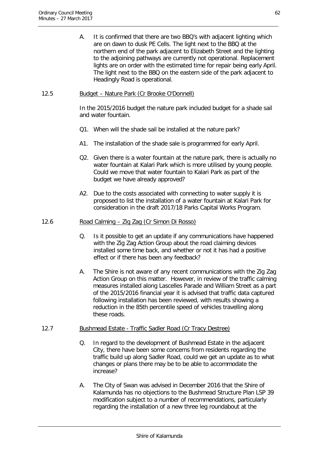A. It is confirmed that there are two BBQ's with adjacent lighting which are on dawn to dusk PE Cells. The light next to the BBQ at the northern end of the park adjacent to Elizabeth Street and the lighting to the adjoining pathways are currently not operational. Replacement lights are on order with the estimated time for repair being early April. The light next to the BBQ on the eastern side of the park adjacent to Headingly Road is operational.

#### 12.5 Budget – Nature Park (Cr Brooke O'Donnell)

In the 2015/2016 budget the nature park included budget for a shade sail and water fountain.

- Q1. When will the shade sail be installed at the nature park?
- A1. The installation of the shade sale is programmed for early April.
- Q2. Given there is a water fountain at the nature park, there is actually no water fountain at Kalari Park which is more utilised by young people. Could we move that water fountain to Kalari Park as part of the budget we have already approved?
- A2. Due to the costs associated with connecting to water supply it is proposed to list the installation of a water fountain at Kalari Park for consideration in the draft 2017/18 Parks Capital Works Program.

#### 12.6 Road Calming – Zig Zag (Cr Simon Di Rosso)

- Q. Is it possible to get an update if any communications have happened with the Zig Zag Action Group about the road claiming devices installed some time back, and whether or not it has had a positive effect or if there has been any feedback?
- A. The Shire is not aware of any recent communications with the Zig Zag Action Group on this matter. However, in review of the traffic calming measures installed along Lascelles Parade and William Street as a part of the 2015/2016 financial year it is advised that traffic data captured following installation has been reviewed, with results showing a reduction in the 85th percentile speed of vehicles travelling along these roads.

#### 12.7 Bushmead Estate - Traffic Sadler Road (Cr Tracy Destree)

- Q. In regard to the development of Bushmead Estate in the adjacent City, there have been some concerns from residents regarding the traffic build up along Sadler Road, could we get an update as to what changes or plans there may be to be able to accommodate the increase?
- A. The City of Swan was advised in December 2016 that the Shire of Kalamunda has no objections to the Bushmead Structure Plan LSP 39 modification subject to a number of recommendations, particularly regarding the installation of a new three leg roundabout at the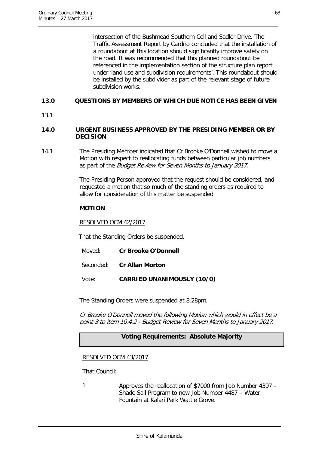intersection of the Bushmead Southern Cell and Sadler Drive. The Traffic Assessment Report by Cardno concluded that the installation of a roundabout at this location should significantly improve safety on the road. It was recommended that this planned roundabout be referenced in the implementation section of the structure plan report under 'land use and subdivision requirements'. This roundabout should be installed by the subdivider as part of the relevant stage of future subdivision works.

#### <span id="page-63-0"></span>**13.0 QUESTIONS BY MEMBERS OF WHICH DUE NOTICE HAS BEEN GIVEN**

13.1

#### <span id="page-63-1"></span>**14.0 URGENT BUSINESS APPROVED BY THE PRESIDING MEMBER OR BY DECISION**

14.1 The Presiding Member indicated that Cr Brooke O'Donnell wished to move a Motion with respect to reallocating funds between particular job numbers as part of the Budget Review for Seven Months to January 2017.

> The Presiding Person approved that the request should be considered, and requested a motion that so much of the standing orders as required to allow for consideration of this matter be suspended.

#### **MOTION**

RESOLVED OCM 42/2017

That the Standing Orders be suspended.

- Moved: **Cr Brooke O'Donnell**
- Seconded: **Cr Allan Morton**

Vote: **CARRIED UNANIMOUSLY (10/0)**

The Standing Orders were suspended at 8.28pm.

Cr Brooke O'Donnell moved the following Motion which would in effect be a point 3 to item 10.4.2 - Budget Review for Seven Months to January 2017.

#### **Voting Requirements: Absolute Majority**

#### RESOLVED OCM 43/2017

That Council:

1. Approves the reallocation of \$7000 from Job Number 4397 – Shade Sail Program to new Job Number 4487 – Water Fountain at Kalari Park Wattle Grove.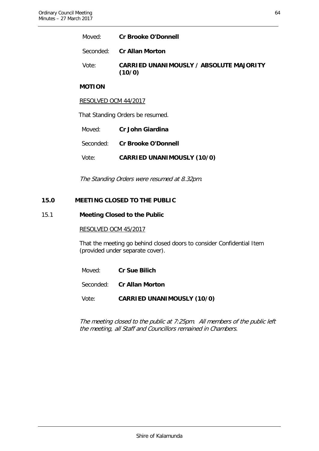Seconded: **Cr Allan Morton**

Vote: **CARRIED UNANIMOUSLY / ABSOLUTE MAJORITY (10/0)**

#### **MOTION**

#### RESOLVED OCM 44/2017

That Standing Orders be resumed.

Moved: **Cr John Giardina**

Seconded: **Cr Brooke O'Donnell**

Vote: **CARRIED UNANIMOUSLY (10/0)**

The Standing Orders were resumed at 8.32pm.

#### <span id="page-64-0"></span>**15.0 MEETING CLOSED TO THE PUBLIC**

#### 15.1 **Meeting Closed to the Public**

#### RESOLVED OCM 45/2017

That the meeting go behind closed doors to consider Confidential Item (provided under separate cover).

Moved: **Cr Sue Bilich**

Seconded: **Cr Allan Morton**

Vote: **CARRIED UNANIMOUSLY (10/0)**

The meeting closed to the public at 7:25pm. All members of the public left the meeting, all Staff and Councillors remained in Chambers.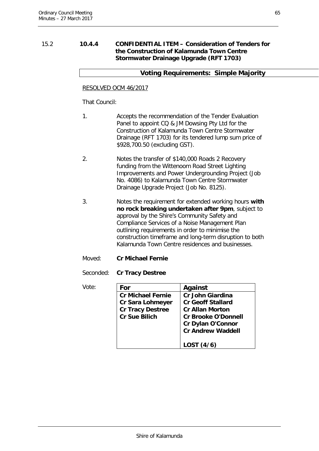#### <span id="page-65-0"></span>15.2 **10.4.4 CONFIDENTIAL ITEM – Consideration of Tenders for the Construction of Kalamunda Town Centre Stormwater Drainage Upgrade (RFT 1703)**

#### **Voting Requirements: Simple Majority**

#### RESOLVED OCM 46/2017

That Council:

- 1. Accepts the recommendation of the Tender Evaluation Panel to appoint CQ & JM Dowsing Pty Ltd for the Construction of Kalamunda Town Centre Stormwater Drainage (RFT 1703) for its tendered lump sum price of \$928,700.50 (excluding GST).
- 2. Notes the transfer of \$140,000 Roads 2 Recovery funding from the Wittenoom Road Street Lighting Improvements and Power Undergrounding Project (Job No. 4086) to Kalamunda Town Centre Stormwater Drainage Upgrade Project (Job No. 8125).
- 3. Notes the requirement for extended working hours **with no rock breaking undertaken after 9pm**, subject to approval by the Shire's Community Safety and Compliance Services of a Noise Management Plan outlining requirements in order to minimise the construction timeframe and long-term disruption to both Kalamunda Town Centre residences and businesses.
- Moved: **Cr Michael Fernie**

Seconded: **Cr Tracy Destree**

| Vote: | For                      | Against                    |
|-------|--------------------------|----------------------------|
|       | <b>Cr Michael Fernie</b> | <b>Cr John Giardina</b>    |
|       | Cr Sara Lohmeyer         | <b>Cr Geoff Stallard</b>   |
|       | <b>Cr Tracy Destree</b>  | <b>Cr Allan Morton</b>     |
|       | <b>Cr Sue Bilich</b>     | <b>Cr Brooke O'Donnell</b> |
|       |                          | <b>Cr Dylan O'Connor</b>   |
|       |                          | <b>Cr Andrew Waddell</b>   |
|       |                          | LOST(4/6)                  |